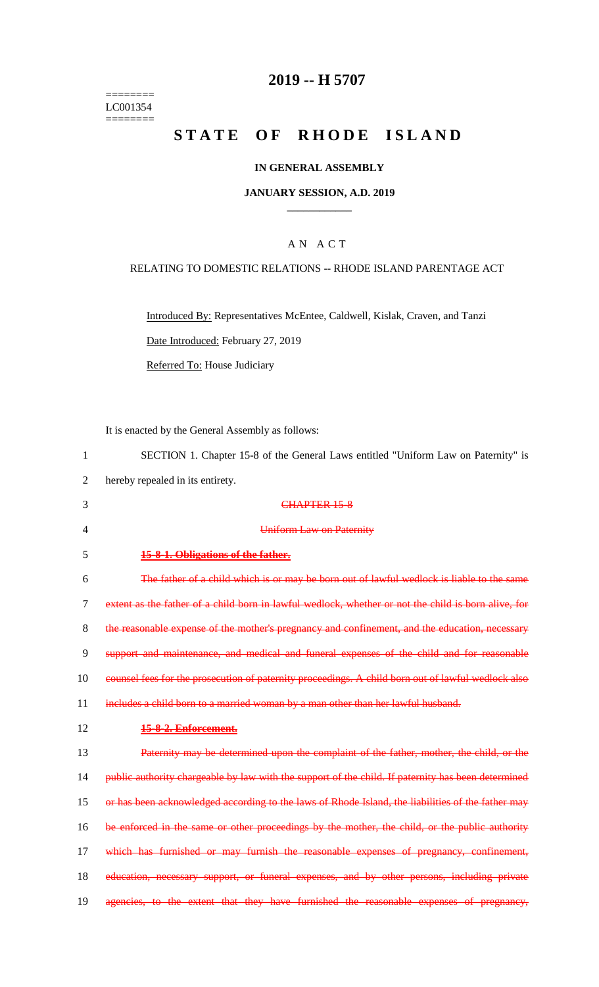======== LC001354 ========

## **2019 -- H 5707**

# **STATE OF RHODE ISLAND**

### **IN GENERAL ASSEMBLY**

### **JANUARY SESSION, A.D. 2019 \_\_\_\_\_\_\_\_\_\_\_\_**

## A N A C T

### RELATING TO DOMESTIC RELATIONS -- RHODE ISLAND PARENTAGE ACT

Introduced By: Representatives McEntee, Caldwell, Kislak, Craven, and Tanzi

Date Introduced: February 27, 2019

Referred To: House Judiciary

It is enacted by the General Assembly as follows:

1 SECTION 1. Chapter 15-8 of the General Laws entitled "Uniform Law on Paternity" is 2 hereby repealed in its entirety.

 CHAPTER 15-8 Uniform Law on Paternity **15-8-1. Obligations of the father.** The father of a child which is or may be born out of lawful wedlock is liable to the same extent as the father of a child born in lawful wedlock, whether or not the child is born alive, for 8 the reasonable expense of the mother's pregnancy and confinement, and the education, necessary support and maintenance, and medical and funeral expenses of the child and for reasonable counsel fees for the prosecution of paternity proceedings. A child born out of lawful wedlock also 11 includes a child born to a married woman by a man other than her lawful husband. **15-8-2. Enforcement.**

13 Paternity may be determined upon the complaint of the father, mother, the child, or the 14 public authority chargeable by law with the support of the child. If paternity has been determined 15 or has been acknowledged according to the laws of Rhode Island, the liabilities of the father may 16 be enforced in the same or other proceedings by the mother, the child, or the public authority 17 which has furnished or may furnish the reasonable expenses of pregnancy, confinement, 18 education, necessary support, or funeral expenses, and by other persons, including private 19 agencies, to the extent that they have furnished the reasonable expenses of pregnancy,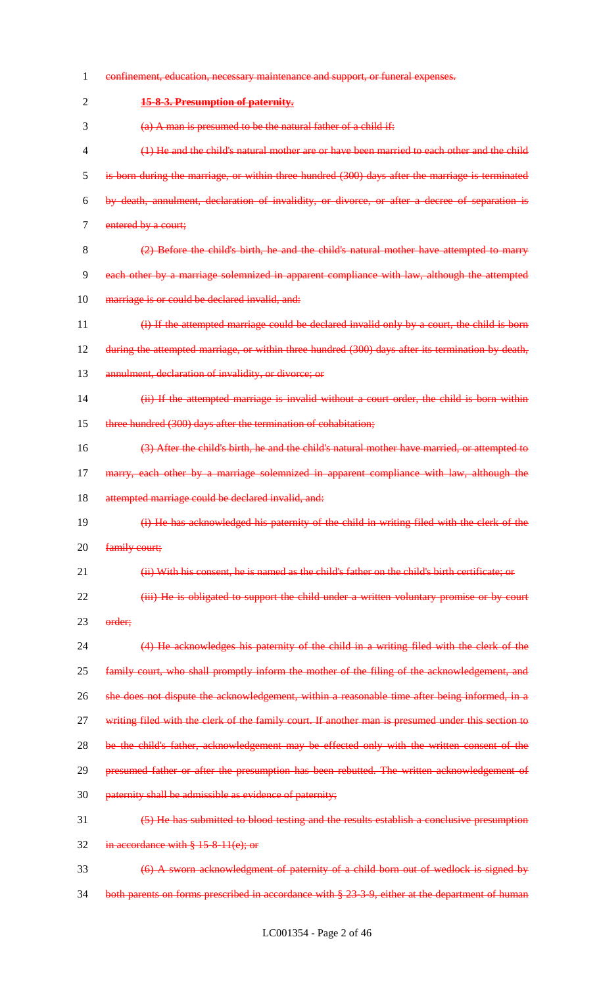| 1              | confinement, education, necessary maintenance and support, or funeral expenses.                    |
|----------------|----------------------------------------------------------------------------------------------------|
| $\overline{2}$ | 15-8-3. Presumption of paternity.                                                                  |
| 3              | (a) A man is presumed to be the natural father of a child if:                                      |
| $\overline{4}$ | (1) He and the child's natural mother are or have been married to each other and the child         |
| 5              | is born during the marriage, or within three hundred (300) days after the marriage is terminated   |
| 6              | by death, annulment, declaration of invalidity, or divorce, or after a decree of separation is     |
| $\overline{7}$ | entered by a court;                                                                                |
| 8              | (2) Before the child's birth, he and the child's natural mother have attempted to marry            |
| 9              | each other by a marriage solemnized in apparent compliance with law, although the attempted        |
| 10             | marriage is or could be declared invalid, and:                                                     |
| 11             | (i) If the attempted marriage could be declared invalid only by a court, the child is born         |
| 12             | during the attempted marriage, or within three hundred (300) days after its termination by death,  |
| 13             | annulment, declaration of invalidity, or divorce; or                                               |
| 14             | (ii) If the attempted marriage is invalid without a court order, the child is born within          |
| 15             | three hundred (300) days after the termination of cohabitation;                                    |
| 16             | (3) After the child's birth, he and the child's natural mother have married, or attempted to       |
| 17             | marry, each other by a marriage solemnized in apparent compliance with law, although the           |
| 18             | attempted marriage could be declared invalid, and:                                                 |
| 19             | (i) He has acknowledged his paternity of the child in writing filed with the clerk of the          |
| 20             | family court;                                                                                      |
| 21             | (ii) With his consent, he is named as the child's father on the child's birth certificate; or      |
| 22             | (iii) He is obligated to support the child under a written voluntary promise or by court           |
| 23             | order;                                                                                             |
| 24             | (4) He acknowledges his paternity of the child in a writing filed with the clerk of the            |
| 25             | family court, who shall promptly inform the mother of the filing of the acknowledgement, and       |
| 26             | she does not dispute the acknowledgement, within a reasonable time after being informed, in a      |
| 27             | writing filed with the clerk of the family court. If another man is presumed under this section to |
| 28             | be the child's father, acknowledgement may be effected only with the written consent of the        |
| 29             | presumed father or after the presumption has been rebutted. The written acknowledgement of         |
| 30             | paternity shall be admissible as evidence of paternity;                                            |
| 31             | (5) He has submitted to blood testing and the results establish a conclusive presumption           |
| 32             | in accordance with $\frac{8}{5}$ 15 8 11(e); or                                                    |
| 33             | (6) A sworn acknowledgment of paternity of a child born out of wedlock is signed by                |
| 34             | both parents on forms prescribed in accordance with § 23-3-9, either at the department of human    |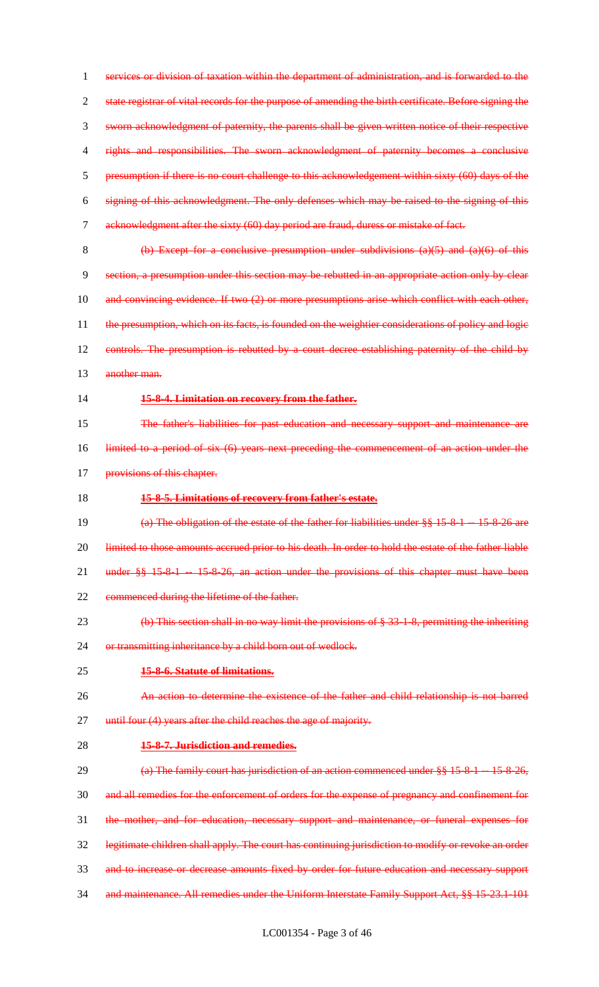services or division of taxation within the department of administration, and is forwarded to the state registrar of vital records for the purpose of amending the birth certificate. Before signing the sworn acknowledgment of paternity, the parents shall be given written notice of their respective rights and responsibilities. The sworn acknowledgment of paternity becomes a conclusive presumption if there is no court challenge to this acknowledgement within sixty (60) days of the signing of this acknowledgment. The only defenses which may be raised to the signing of this acknowledgment after the sixty (60) day period are fraud, duress or mistake of fact. (b) Except for a conclusive presumption under subdivisions (a)(5) and (a)(6) of this section, a presumption under this section may be rebutted in an appropriate action only by clear

10 and convincing evidence. If two (2) or more presumptions arise which conflict with each other, 11 the presumption, which on its facts, is founded on the weightier considerations of policy and logic 12 controls. The presumption is rebutted by a court decree establishing paternity of the child by

- 13 another man.
- 

### 14 **15-8-4. Limitation on recovery from the father.**

15 The father's liabilities for past education and necessary support and maintenance are 16 limited to a period of six (6) years next preceding the commencement of an action under the 17 provisions of this chapter.

## 18 **15-8-5. Limitations of recovery from father's estate.**

19 (a) The obligation of the estate of the father for liabilities under §§ 15-8-1 -- 15-8-26 are 20 limited to those amounts accrued prior to his death. In order to hold the estate of the father liable 21 under §§ 15-8-1 -- 15-8-26, an action under the provisions of this chapter must have been 22 commenced during the lifetime of the father.

# 23 (b) This section shall in no way limit the provisions of § 33-1-8, permitting the inheriting

24 or transmitting inheritance by a child born out of wedlock.

#### 25 **15-8-6. Statute of limitations.**

26 An action to determine the existence of the father and child relationship is not barred 27 until four (4) years after the child reaches the age of majority.

## 28 **15-8-7. Jurisdiction and remedies.**

29 (a) The family court has jurisdiction of an action commenced under  $\frac{8}{9}$  15-8-1 -- 15-8-26, and all remedies for the enforcement of orders for the expense of pregnancy and confinement for the mother, and for education, necessary support and maintenance, or funeral expenses for legitimate children shall apply. The court has continuing jurisdiction to modify or revoke an order and to increase or decrease amounts fixed by order for future education and necessary support 34 and maintenance. All remedies under the Uniform Interstate Family Support Act, §§ 15-23.1-101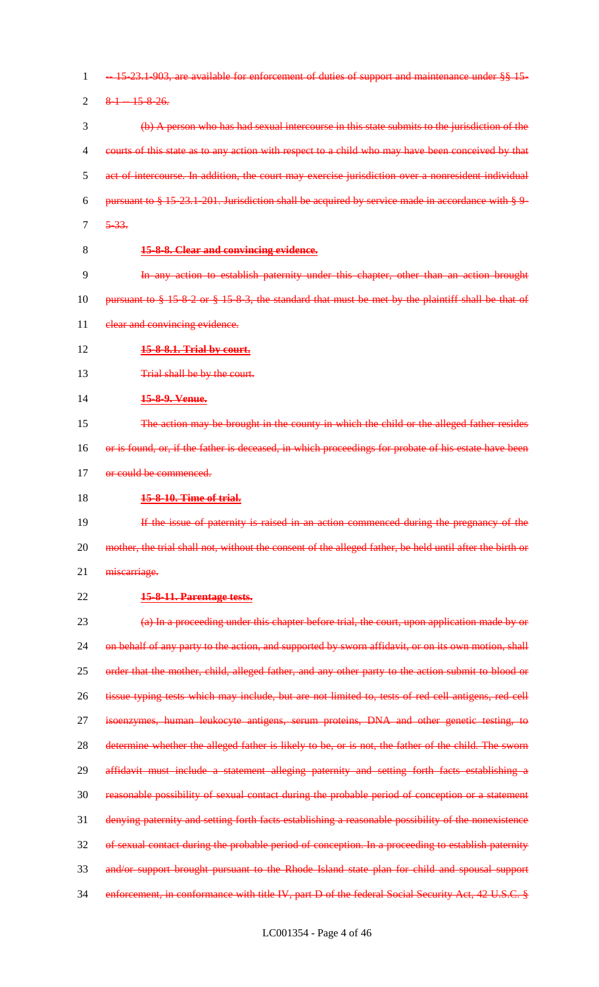1 -- 15-23.1-903, are available for enforcement of duties of support and maintenance under §§ 15-  $2 \quad 8 \quad 1 \quad 15 \quad 8 \quad 26.$ 3 (b) A person who has had sexual intercourse in this state submits to the jurisdiction of the 4 courts of this state as to any action with respect to a child who may have been conceived by that 5 act of intercourse. In addition, the court may exercise jurisdiction over a nonresident individual 6 pursuant to § 15-23.1-201. Jurisdiction shall be acquired by service made in accordance with § 9- 7 5-33. 8 **15-8-8. Clear and convincing evidence.** 9 In any action to establish paternity under this chapter, other than an action brought 10 pursuant to § 15-8-2 or § 15-8-3, the standard that must be met by the plaintiff shall be that of 11 elear and convincing evidence. 12 **15-8-8.1. Trial by court.** 13 Trial shall be by the court. 14 **15-8-9. Venue.** 15 The action may be brought in the county in which the child or the alleged father resides 16 or is found, or, if the father is deceased, in which proceedings for probate of his estate have been 17 or could be commenced. 18 **15-8-10. Time of trial.** 19 If the issue of paternity is raised in an action commenced during the pregnancy of the 20 mother, the trial shall not, without the consent of the alleged father, be held until after the birth or 21 miscarriage. 22 **15-8-11. Parentage tests.** 23 (a) In a proceeding under this chapter before trial, the court, upon application made by or 24 on behalf of any party to the action, and supported by sworn affidavit, or on its own motion, shall 25 order that the mother, child, alleged father, and any other party to the action submit to blood or 26 tissue typing tests which may include, but are not limited to, tests of red cell antigens, red cell 27 isoenzymes, human leukocyte antigens, serum proteins, DNA and other genetic testing, to 28 determine whether the alleged father is likely to be, or is not, the father of the child. The sworn 29 affidavit must include a statement alleging paternity and setting forth facts establishing a 30 reasonable possibility of sexual contact during the probable period of conception or a statement 31 denying paternity and setting forth facts establishing a reasonable possibility of the nonexistence 32 of sexual contact during the probable period of conception. In a proceeding to establish paternity 33 and/or support brought pursuant to the Rhode Island state plan for child and spousal support 34 enforcement, in conformance with title IV, part D of the federal Social Security Act, 42 U.S.C. §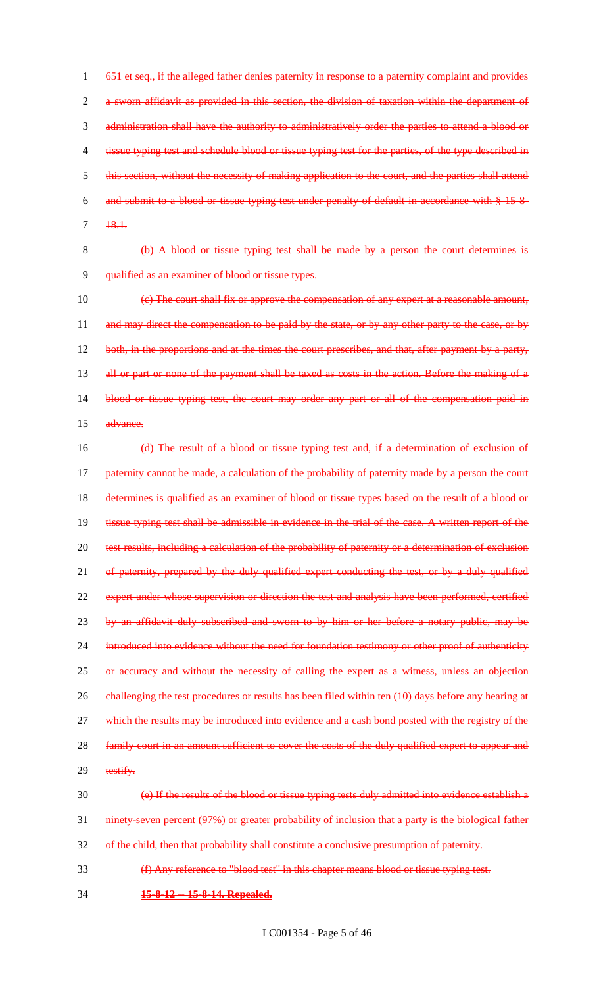651 et seq., if the alleged father denies paternity in response to a paternity complaint and provides a sworn affidavit as provided in this section, the division of taxation within the department of administration shall have the authority to administratively order the parties to attend a blood or tissue typing test and schedule blood or tissue typing test for the parties, of the type described in this section, without the necessity of making application to the court, and the parties shall attend and submit to a blood or tissue typing test under penalty of default in accordance with § 15-8-  $7 \frac{18.1}{18.1}$ 

8 (b) A blood or tissue typing test shall be made by a person the court determines is

9 qualified as an examiner of blood or tissue types.

10 (c) The court shall fix or approve the compensation of any expert at a reasonable amount, 11 and may direct the compensation to be paid by the state, or by any other party to the case, or by 12 both, in the proportions and at the times the court prescribes, and that, after payment by a party, 13 all or part or none of the payment shall be taxed as costs in the action. Before the making of a 14 blood or tissue typing test, the court may order any part or all of the compensation paid in 15 advance.

16 (d) The result of a blood or tissue typing test and, if a determination of exclusion of 17 paternity cannot be made, a calculation of the probability of paternity made by a person the court 18 determines is qualified as an examiner of blood or tissue types based on the result of a blood or 19 tissue typing test shall be admissible in evidence in the trial of the case. A written report of the 20 test results, including a calculation of the probability of paternity or a determination of exclusion 21 of paternity, prepared by the duly qualified expert conducting the test, or by a duly qualified 22 expert under whose supervision or direction the test and analysis have been performed, certified 23 by an affidavit duly subscribed and sworn to by him or her before a notary public, may be 24 introduced into evidence without the need for foundation testimony or other proof of authenticity 25 or accuracy and without the necessity of calling the expert as a witness, unless an objection 26 challenging the test procedures or results has been filed within ten (10) days before any hearing at 27 which the results may be introduced into evidence and a cash bond posted with the registry of the 28 family court in an amount sufficient to cover the costs of the duly qualified expert to appear and 29 testify. 30 (e) If the results of the blood or tissue typing tests duly admitted into evidence establish a

31 ninety-seven percent (97%) or greater probability of inclusion that a party is the biological father

32 of the child, then that probability shall constitute a conclusive presumption of paternity.

33 (f) Any reference to "blood test" in this chapter means blood or tissue typing test.

34 **15-8-12 -- 15-8-14. Repealed.**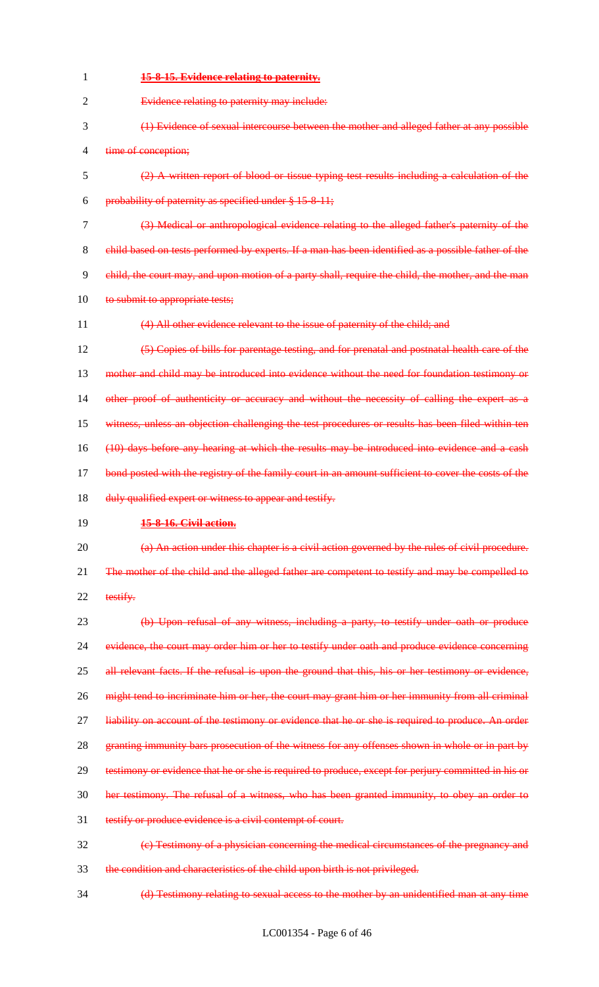| 1  | <b>15-8-15. Evidence relating to paternity.</b>                                                     |
|----|-----------------------------------------------------------------------------------------------------|
| 2  | Evidence relating to paternity may include:                                                         |
| 3  | (1) Evidence of sexual intercourse between the mother and alleged father at any possible            |
| 4  | time of conception;                                                                                 |
| 5  | (2) A written report of blood or tissue typing test results including a calculation of the          |
| 6  | probability of paternity as specified under § 15 8-11;                                              |
| 7  | (3) Medical or anthropological evidence relating to the alleged father's paternity of the           |
| 8  | child based on tests performed by experts. If a man has been identified as a possible father of the |
| 9  | child, the court may, and upon motion of a party shall, require the child, the mother, and the man  |
| 10 | to submit to appropriate tests;                                                                     |
| 11 | (4) All other evidence relevant to the issue of paternity of the child; and                         |
| 12 | (5) Copies of bills for parentage testing, and for prenatal and postnatal health care of the        |
| 13 | mother and child may be introduced into evidence without the need for foundation testimony or       |
| 14 | other proof of authenticity or accuracy and without the necessity of calling the expert as a        |
| 15 | witness, unless an objection challenging the test procedures or results has been filed within ten   |
| 16 | (10) days before any hearing at which the results may be introduced into evidence and a cash        |
| 17 | bond posted with the registry of the family court in an amount sufficient to cover the costs of the |
| 18 | duly qualified expert or witness to appear and testify.                                             |
| 19 | 15-8-16. Civil action.                                                                              |
| 20 | (a) An action under this chapter is a civil action governed by the rules of civil procedure.        |
| 21 | The mother of the child and the alleged father are competent to testify and may be compelled to     |
| 22 | testify.                                                                                            |
| 23 | (b) Upon refusal of any witness, including a party, to testify under oath or produce                |
| 24 | evidence, the court may order him or her to testify under oath and produce evidence concerning      |
| 25 | all relevant facts. If the refusal is upon the ground that this, his or her testimony or evidence,  |
| 26 | might tend to incriminate him or her, the court may grant him or her immunity from all criminal     |
| 27 | liability on account of the testimony or evidence that he or she is required to produce. An order   |
| 28 | granting immunity bars prosecution of the witness for any offenses shown in whole or in part by     |
| 29 | testimony or evidence that he or she is required to produce, except for perjury committed in his or |
| 30 | her testimony. The refusal of a witness, who has been granted immunity, to obey an order to         |
| 31 | testify or produce evidence is a civil contempt of court.                                           |
| 32 | (e) Testimony of a physician concerning the medical circumstances of the pregnancy and              |
| 33 | the condition and characteristics of the child upon birth is not privileged.                        |
| 34 | (d) Testimony relating to sexual access to the mother by an unidentified man at any time            |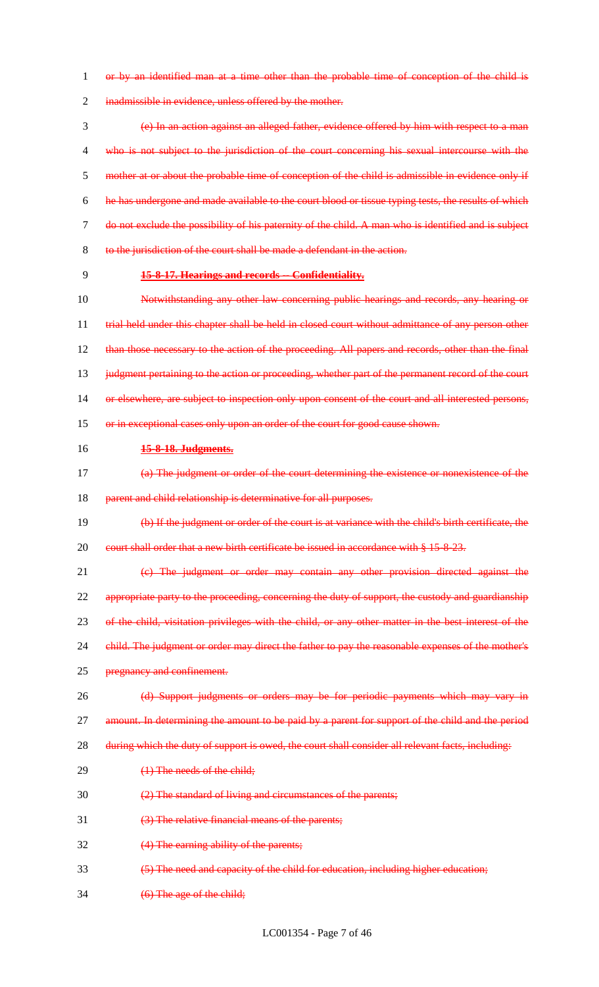1 or by an identified man at a time other than the probable time of conception of the child is

2 inadmissible in evidence, unless offered by the mother.

 (e) In an action against an alleged father, evidence offered by him with respect to a man who is not subject to the jurisdiction of the court concerning his sexual intercourse with the 5 mother at or about the probable time of conception of the child is admissible in evidence only if he has undergone and made available to the court blood or tissue typing tests, the results of which do not exclude the possibility of his paternity of the child. A man who is identified and is subject to the jurisdiction of the court shall be made a defendant in the action.

### 9 **15-8-17. Hearings and records -- Confidentiality.**

10 Notwithstanding any other law concerning public hearings and records, any hearing or 11 trial held under this chapter shall be held in closed court without admittance of any person other 12 than those necessary to the action of the proceeding. All papers and records, other than the final 13 judgment pertaining to the action or proceeding, whether part of the permanent record of the court 14 or elsewhere, are subject to inspection only upon consent of the court and all interested persons, 15 or in exceptional cases only upon an order of the court for good cause shown. 16 **15-8-18. Judgments.**

- 17 (a) The judgment or order of the court determining the existence or nonexistence of the 18 parent and child relationship is determinative for all purposes.
- 19 (b) If the judgment or order of the court is at variance with the child's birth certificate, the 20 court shall order that a new birth certificate be issued in accordance with § 15-8-23.
- 21 (c) The judgment or order may contain any other provision directed against the

22 appropriate party to the proceeding, concerning the duty of support, the custody and guardianship

23 of the child, visitation privileges with the child, or any other matter in the best interest of the

24 child. The judgment or order may direct the father to pay the reasonable expenses of the mother's

25 pregnancy and confinement.

26 (d) Support judgments or orders may be for periodic payments which may vary in

27 amount. In determining the amount to be paid by a parent for support of the child and the period

- 28 during which the duty of support is owed, the court shall consider all relevant facts, including:
- 29 (1) The needs of the child;
- 30 (2) The standard of living and circumstances of the parents;
- 31 (3) The relative financial means of the parents;
- 32 (4) The earning ability of the parents;
- 33 (5) The need and capacity of the child for education, including higher education;
- 34 (6) The age of the child;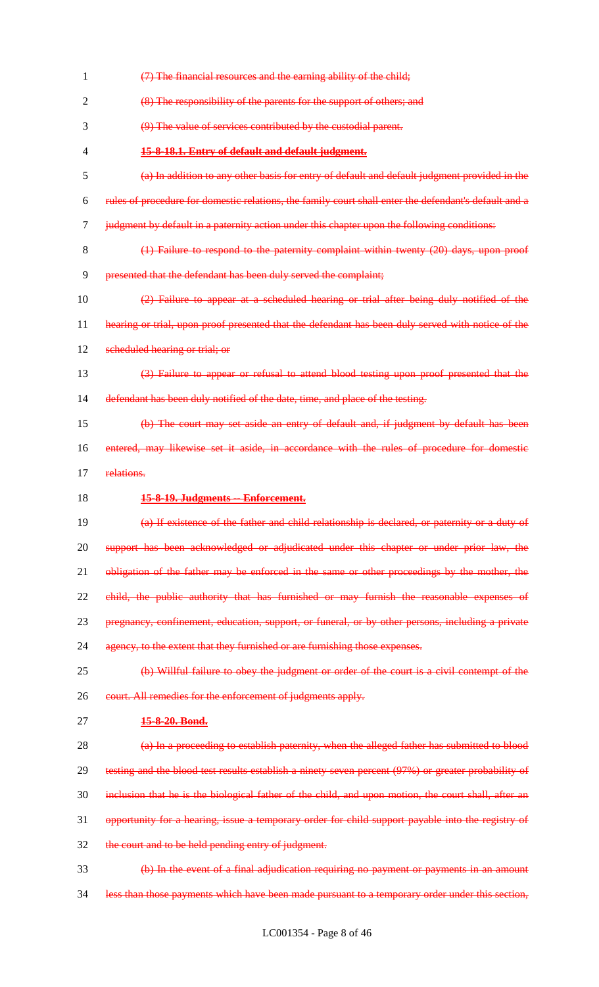| $\mathbf{1}$   | (7) The financial resources and the earning ability of the child;                                     |
|----------------|-------------------------------------------------------------------------------------------------------|
| $\overline{2}$ | (8) The responsibility of the parents for the support of others; and                                  |
| 3              | (9) The value of services contributed by the custodial parent.                                        |
| 4              | 15-8-18.1. Entry of default and default judgment.                                                     |
| 5              | (a) In addition to any other basis for entry of default and default judgment provided in the          |
| 6              | rules of procedure for domestic relations, the family court shall enter the defendant's default and a |
| 7              | judgment by default in a paternity action under this chapter upon the following conditions:           |
| 8              | (1) Failure to respond to the paternity complaint within twenty (20) days, upon proof                 |
| 9              | presented that the defendant has been duly served the complaint;                                      |
| 10             | (2) Failure to appear at a scheduled hearing or trial after being duly notified of the                |
| 11             | hearing or trial, upon proof presented that the defendant has been duly served with notice of the     |
| 12             | scheduled hearing or trial; or                                                                        |
| 13             | (3) Failure to appear or refusal to attend blood testing upon proof presented that the                |
| 14             | defendant has been duly notified of the date, time, and place of the testing.                         |
| 15             | (b) The court may set aside an entry of default and, if judgment by default has been                  |
| 16             | entered, may likewise set it aside, in accordance with the rules of procedure for domestic            |
| 17             | relations.                                                                                            |
| 18             | 15-8-19. Judgments -- Enforcement.                                                                    |
| 19             | (a) If existence of the father and child relationship is declared, or paternity or a duty of          |
| 20             | support has been acknowledged or adjudicated under this chapter or under prior law, the               |
| 21             | obligation of the father may be enforced in the same or other proceedings by the mother, the          |
| 22             | child, the public authority that has furnished or may furnish the reasonable expenses of              |
| 23             | pregnancy, confinement, education, support, or funeral, or by other persons, including a private      |
| 24             | agency, to the extent that they furnished or are furnishing those expenses.                           |
| 25             | (b) Willful failure to obey the judgment or order of the court is a civil contempt of the             |
| 26             | court. All remedies for the enforcement of judgments apply.                                           |
| 27             | 15-8-20. Bond.                                                                                        |
| 28             | (a) In a proceeding to establish paternity, when the alleged father has submitted to blood            |
| 29             | testing and the blood test results establish a ninety seven percent (97%) or greater probability of   |
| 30             | inclusion that he is the biological father of the child, and upon motion, the court shall, after an   |
| 31             | opportunity for a hearing, issue a temporary order for child support payable into the registry of     |
| 32             | the court and to be held pending entry of judgment.                                                   |
| 33             | (b) In the event of a final adjudication requiring no payment or payments in an amount                |
| 34             | less than those payments which have been made pursuant to a temporary order under this section,       |
|                |                                                                                                       |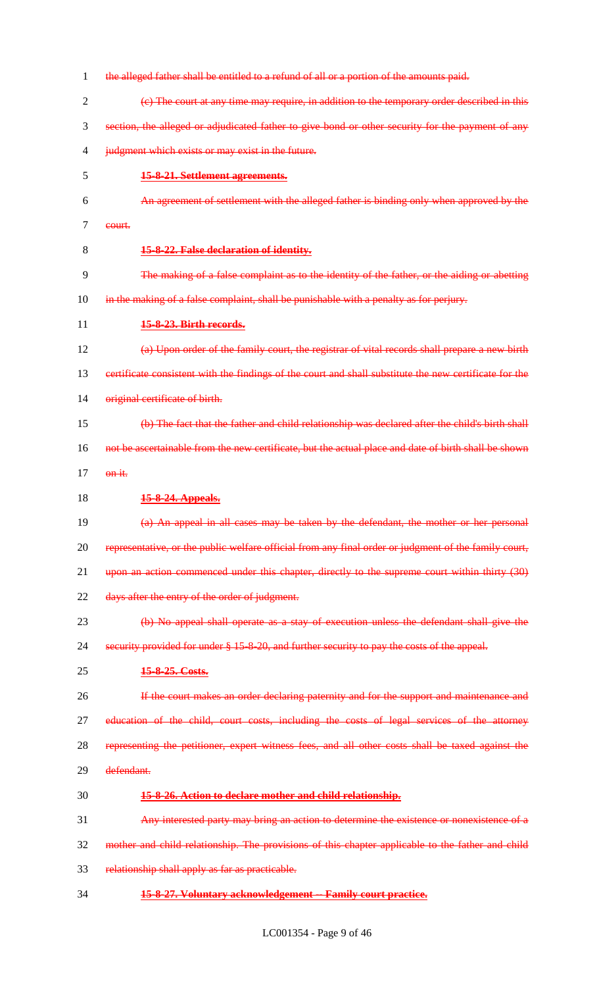the alleged father shall be entitled to a refund of all or a portion of the amounts paid. (c) The court at any time may require, in addition to the temporary order described in this section, the alleged or adjudicated father to give bond or other security for the payment of any 4 judgment which exists or may exist in the future. **15-8-21. Settlement agreements.** An agreement of settlement with the alleged father is binding only when approved by the court. **15-8-22. False declaration of identity.** The making of a false complaint as to the identity of the father, or the aiding or abetting in the making of a false complaint, shall be punishable with a penalty as for perjury. **15-8-23. Birth records.** (a) Upon order of the family court, the registrar of vital records shall prepare a new birth 13 certificate consistent with the findings of the court and shall substitute the new certificate for the 14 original certificate of birth. (b) The fact that the father and child relationship was declared after the child's birth shall 16 not be ascertainable from the new certificate, but the actual place and date of birth shall be shown 17 on it. **15-8-24. Appeals.** (a) An appeal in all cases may be taken by the defendant, the mother or her personal 20 representative, or the public welfare official from any final order or judgment of the family court, 21 upon an action commenced under this chapter, directly to the supreme court within thirty (30) 22 days after the entry of the order of judgment. (b) No appeal shall operate as a stay of execution unless the defendant shall give the 24 security provided for under § 15-8-20, and further security to pay the costs of the appeal. **15-8-25. Costs. If the court makes an order declaring paternity and for the support and maintenance and** 27 education of the child, court costs, including the costs of legal services of the attorney 28 representing the petitioner, expert witness fees, and all other costs shall be taxed against the defendant. **15-8-26. Action to declare mother and child relationship.** Any interested party may bring an action to determine the existence or nonexistence of a mother and child relationship. The provisions of this chapter applicable to the father and child relationship shall apply as far as practicable. **15-8-27. Voluntary acknowledgement -- Family court practice.**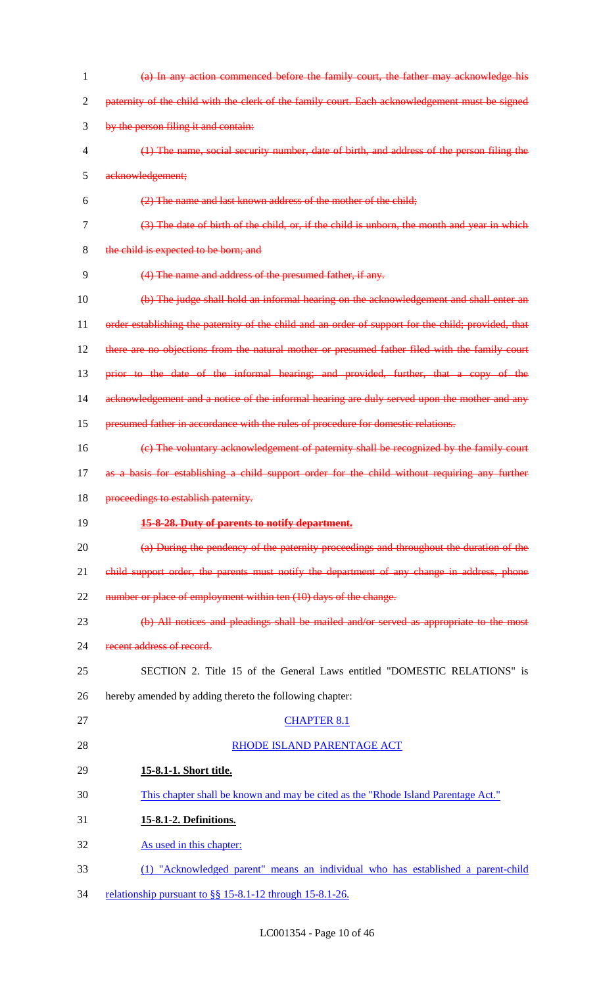- (a) In any action commenced before the family court, the father may acknowledge his paternity of the child with the clerk of the family court. Each acknowledgement must be signed by the person filing it and contain: (1) The name, social security number, date of birth, and address of the person filing the acknowledgement; (2) The name and last known address of the mother of the child; (3) The date of birth of the child, or, if the child is unborn, the month and year in which the child is expected to be born; and (4) The name and address of the presumed father, if any. (b) The judge shall hold an informal hearing on the acknowledgement and shall enter an 11 order establishing the paternity of the child and an order of support for the child; provided, that 12 there are no objections from the natural mother or presumed father filed with the family court 13 prior to the date of the informal hearing; and provided, further, that a copy of the 14 acknowledgement and a notice of the informal hearing are duly served upon the mother and any presumed father in accordance with the rules of procedure for domestic relations. (c) The voluntary acknowledgement of paternity shall be recognized by the family court 17 as a basis for establishing a child support order for the child without requiring any further 18 proceedings to establish paternity. **15-8-28. Duty of parents to notify department.** (a) During the pendency of the paternity proceedings and throughout the duration of the 21 child support order, the parents must notify the department of any change in address, phone 22 number or place of employment within ten (10) days of the change. (b) All notices and pleadings shall be mailed and/or served as appropriate to the most 24 recent address of record. SECTION 2. Title 15 of the General Laws entitled "DOMESTIC RELATIONS" is hereby amended by adding thereto the following chapter: CHAPTER 8.1 RHODE ISLAND PARENTAGE ACT **15-8.1-1. Short title.** This chapter shall be known and may be cited as the "Rhode Island Parentage Act." **15-8.1-2. Definitions.** 32 As used in this chapter: (1) "Acknowledged parent" means an individual who has established a parent-child 34 relationship pursuant to §§ 15-8.1-12 through 15-8.1-26.
	-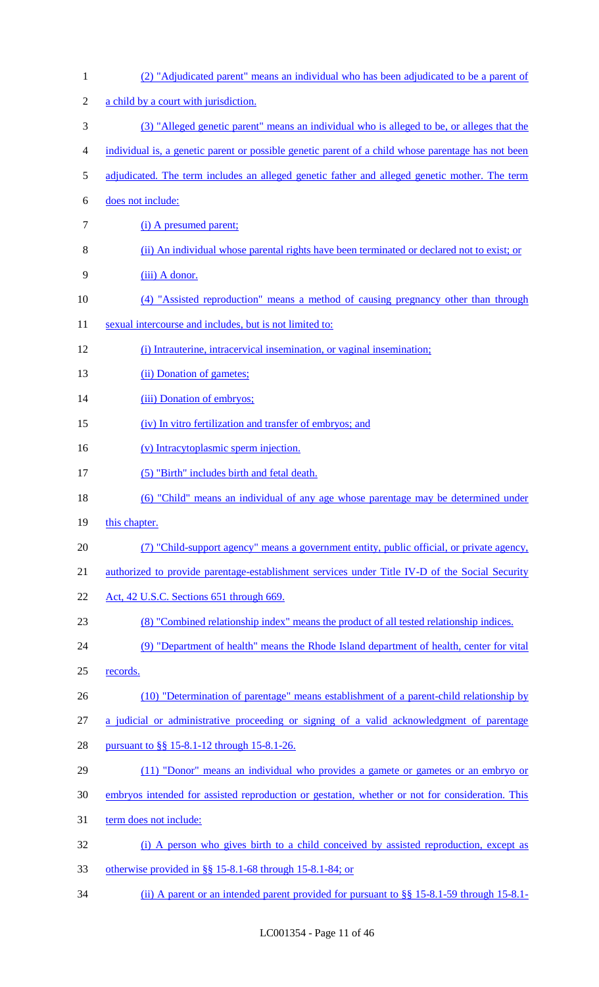| $\mathbf{1}$   | (2) "Adjudicated parent" means an individual who has been adjudicated to be a parent of            |
|----------------|----------------------------------------------------------------------------------------------------|
| $\overline{c}$ | a child by a court with jurisdiction.                                                              |
| $\mathfrak{Z}$ | (3) "Alleged genetic parent" means an individual who is alleged to be, or alleges that the         |
| 4              | individual is, a genetic parent or possible genetic parent of a child whose parentage has not been |
| 5              | adjudicated. The term includes an alleged genetic father and alleged genetic mother. The term      |
| 6              | does not include:                                                                                  |
| 7              | (i) A presumed parent;                                                                             |
| 8              | (ii) An individual whose parental rights have been terminated or declared not to exist; or         |
| 9              | (iii) A donor.                                                                                     |
| 10             | (4) "Assisted reproduction" means a method of causing pregnancy other than through                 |
| 11             | sexual intercourse and includes, but is not limited to:                                            |
| 12             | (i) Intrauterine, intracervical insemination, or vaginal insemination;                             |
| 13             | (ii) Donation of gametes;                                                                          |
| 14             | (iii) Donation of embryos;                                                                         |
| 15             | (iv) In vitro fertilization and transfer of embryos; and                                           |
| 16             | (v) Intracytoplasmic sperm injection.                                                              |
| 17             | (5) "Birth" includes birth and fetal death.                                                        |
| 18             | <u>(6) "Child" means an individual of any age whose parentage may be determined under</u>          |
| 19             | this chapter.                                                                                      |
| 20             | (7) "Child-support agency" means a government entity, public official, or private agency,          |
| 21             | authorized to provide parentage-establishment services under Title IV-D of the Social Security     |
| 22             | Act, 42 U.S.C. Sections 651 through 669.                                                           |
| 23             | (8) "Combined relationship index" means the product of all tested relationship indices.            |
| 24             | (9) "Department of health" means the Rhode Island department of health, center for vital           |
| 25             | records.                                                                                           |
| 26             | (10) "Determination of parentage" means establishment of a parent-child relationship by            |
| 27             | a judicial or administrative proceeding or signing of a valid acknowledgment of parentage          |
| 28             | pursuant to §§ 15-8.1-12 through 15-8.1-26.                                                        |
| 29             | (11) "Donor" means an individual who provides a gamete or gametes or an embryo or                  |
| 30             | embryos intended for assisted reproduction or gestation, whether or not for consideration. This    |
| 31             | term does not include:                                                                             |
| 32             | (i) A person who gives birth to a child conceived by assisted reproduction, except as              |
| 33             | otherwise provided in §§ 15-8.1-68 through 15-8.1-84; or                                           |
| 34             | (ii) A parent or an intended parent provided for pursuant to $\S$ 15-8.1-59 through 15-8.1-        |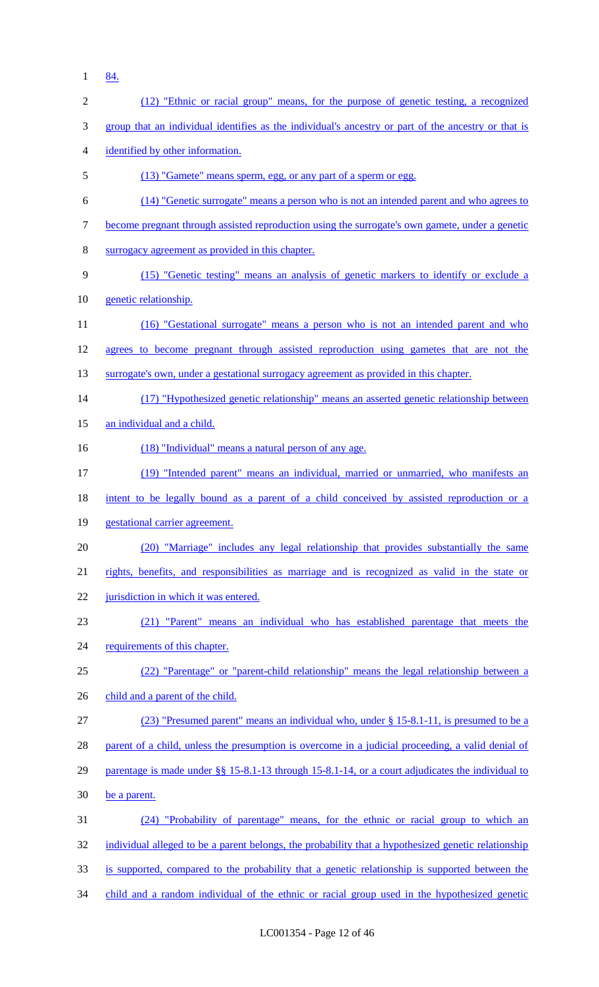1 84.

| $\sqrt{2}$     | (12) "Ethnic or racial group" means, for the purpose of genetic testing, a recognized                |
|----------------|------------------------------------------------------------------------------------------------------|
| 3              | group that an individual identifies as the individual's ancestry or part of the ancestry or that is  |
| 4              | identified by other information.                                                                     |
| 5              | (13) "Gamete" means sperm, egg, or any part of a sperm or egg.                                       |
| 6              | (14) "Genetic surrogate" means a person who is not an intended parent and who agrees to              |
| $\tau$         | become pregnant through assisted reproduction using the surrogate's own gamete, under a genetic      |
| $8\,$          | surrogacy agreement as provided in this chapter.                                                     |
| $\overline{9}$ | (15) "Genetic testing" means an analysis of genetic markers to identify or exclude a                 |
| 10             | genetic relationship.                                                                                |
| 11             | (16) "Gestational surrogate" means a person who is not an intended parent and who                    |
| 12             | agrees to become pregnant through assisted reproduction using gametes that are not the               |
| 13             | surrogate's own, under a gestational surrogacy agreement as provided in this chapter.                |
| 14             | (17) "Hypothesized genetic relationship" means an asserted genetic relationship between              |
| 15             | an individual and a child.                                                                           |
| 16             | (18) "Individual" means a natural person of any age.                                                 |
| 17             | (19) "Intended parent" means an individual, married or unmarried, who manifests an                   |
| 18             | intent to be legally bound as a parent of a child conceived by assisted reproduction or a            |
| 19             | gestational carrier agreement.                                                                       |
| 20             | (20) "Marriage" includes any legal relationship that provides substantially the same                 |
| 21             | rights, benefits, and responsibilities as marriage and is recognized as valid in the state or        |
| 22             | jurisdiction in which it was entered.                                                                |
| 23             | (21) "Parent" means an individual who has established parentage that meets the                       |
| 24             | requirements of this chapter.                                                                        |
| 25             | (22) "Parentage" or "parent-child relationship" means the legal relationship between a               |
| 26             | child and a parent of the child.                                                                     |
| 27             | (23) "Presumed parent" means an individual who, under § 15-8.1-11, is presumed to be a               |
| 28             | parent of a child, unless the presumption is overcome in a judicial proceeding, a valid denial of    |
| 29             | parentage is made under $\S$ § 15-8.1-13 through 15-8.1-14, or a court adjudicates the individual to |
| 30             | be a parent.                                                                                         |
| 31             | (24) "Probability of parentage" means, for the ethnic or racial group to which an                    |
| 32             | individual alleged to be a parent belongs, the probability that a hypothesized genetic relationship  |
| 33             | is supported, compared to the probability that a genetic relationship is supported between the       |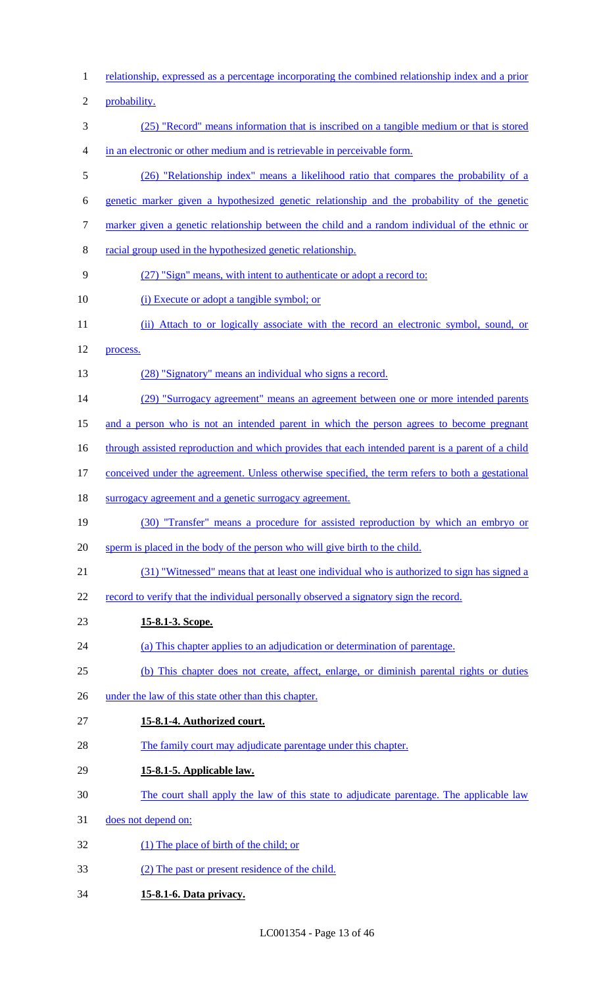relationship, expressed as a percentage incorporating the combined relationship index and a prior probability. (25) "Record" means information that is inscribed on a tangible medium or that is stored in an electronic or other medium and is retrievable in perceivable form. (26) "Relationship index" means a likelihood ratio that compares the probability of a genetic marker given a hypothesized genetic relationship and the probability of the genetic marker given a genetic relationship between the child and a random individual of the ethnic or racial group used in the hypothesized genetic relationship. (27) "Sign" means, with intent to authenticate or adopt a record to: (i) Execute or adopt a tangible symbol; or (ii) Attach to or logically associate with the record an electronic symbol, sound, or process. (28) "Signatory" means an individual who signs a record. (29) "Surrogacy agreement" means an agreement between one or more intended parents and a person who is not an intended parent in which the person agrees to become pregnant 16 through assisted reproduction and which provides that each intended parent is a parent of a child 17 conceived under the agreement. Unless otherwise specified, the term refers to both a gestational 18 surrogacy agreement and a genetic surrogacy agreement. (30) "Transfer" means a procedure for assisted reproduction by which an embryo or sperm is placed in the body of the person who will give birth to the child. (31) "Witnessed" means that at least one individual who is authorized to sign has signed a 22 record to verify that the individual personally observed a signatory sign the record. **15-8.1-3. Scope.** (a) This chapter applies to an adjudication or determination of parentage. (b) This chapter does not create, affect, enlarge, or diminish parental rights or duties 26 under the law of this state other than this chapter. **15-8.1-4. Authorized court.** 28 The family court may adjudicate parentage under this chapter. **15-8.1-5. Applicable law.** The court shall apply the law of this state to adjudicate parentage. The applicable law does not depend on: (1) The place of birth of the child; or (2) The past or present residence of the child. **15-8.1-6. Data privacy.**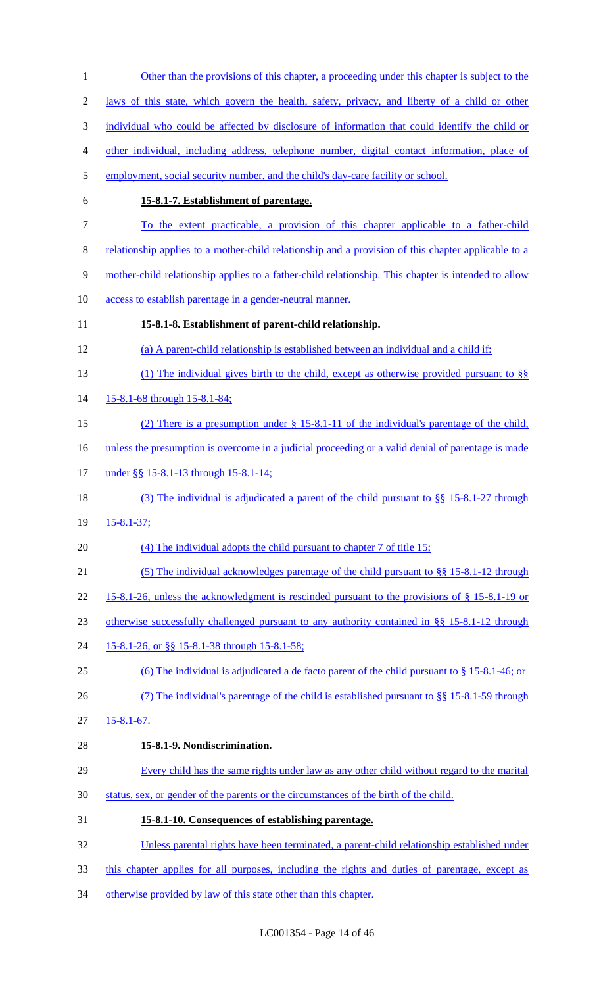| $\mathbf{1}$     | Other than the provisions of this chapter, a proceeding under this chapter is subject to the        |
|------------------|-----------------------------------------------------------------------------------------------------|
| $\mathbf{2}$     | laws of this state, which govern the health, safety, privacy, and liberty of a child or other       |
| 3                | individual who could be affected by disclosure of information that could identify the child or      |
| $\overline{4}$   | other individual, including address, telephone number, digital contact information, place of        |
| 5                | employment, social security number, and the child's day-care facility or school.                    |
| 6                | 15-8.1-7. Establishment of parentage.                                                               |
| $\boldsymbol{7}$ | To the extent practicable, a provision of this chapter applicable to a father-child                 |
| $8\,$            | relationship applies to a mother-child relationship and a provision of this chapter applicable to a |
| $\mathbf{9}$     | mother-child relationship applies to a father-child relationship. This chapter is intended to allow |
| 10               | access to establish parentage in a gender-neutral manner.                                           |
| 11               | 15-8.1-8. Establishment of parent-child relationship.                                               |
| 12               | (a) A parent-child relationship is established between an individual and a child if:                |
| 13               | (1) The individual gives birth to the child, except as otherwise provided pursuant to $\S$          |
| 14               | 15-8.1-68 through 15-8.1-84;                                                                        |
| 15               | (2) There is a presumption under $\S$ 15-8.1-11 of the individual's parentage of the child,         |
| 16               | unless the presumption is overcome in a judicial proceeding or a valid denial of parentage is made  |
| 17               | under §§ 15-8.1-13 through 15-8.1-14;                                                               |
| 18               | (3) The individual is adjudicated a parent of the child pursuant to $\S$ 15-8.1-27 through          |
| 19               | $15 - 8.1 - 37$ ;                                                                                   |
| 20               | (4) The individual adopts the child pursuant to chapter 7 of title 15;                              |
| 21               | (5) The individual acknowledges parentage of the child pursuant to $\S$ § 15-8.1-12 through         |
| 22               | 15-8.1-26, unless the acknowledgment is rescinded pursuant to the provisions of § 15-8.1-19 or      |
| 23               | otherwise successfully challenged pursuant to any authority contained in $\S$ 15-8.1-12 through     |
| 24               | 15-8.1-26, or §§ 15-8.1-38 through 15-8.1-58;                                                       |
| 25               | (6) The individual is adjudicated a de facto parent of the child pursuant to $\S 15-8.1-46$ ; or    |
| 26               | (7) The individual's parentage of the child is established pursuant to $\S$ \$ 15-8.1-59 through    |
| 27               | $15 - 8.1 - 67.$                                                                                    |
| 28               | 15-8.1-9. Nondiscrimination.                                                                        |
| 29               | Every child has the same rights under law as any other child without regard to the marital          |
| 30               | status, sex, or gender of the parents or the circumstances of the birth of the child.               |
| 31               | 15-8.1-10. Consequences of establishing parentage.                                                  |
| 32               | Unless parental rights have been terminated, a parent-child relationship established under          |
| 33               | this chapter applies for all purposes, including the rights and duties of parentage, except as      |
| 34               | otherwise provided by law of this state other than this chapter.                                    |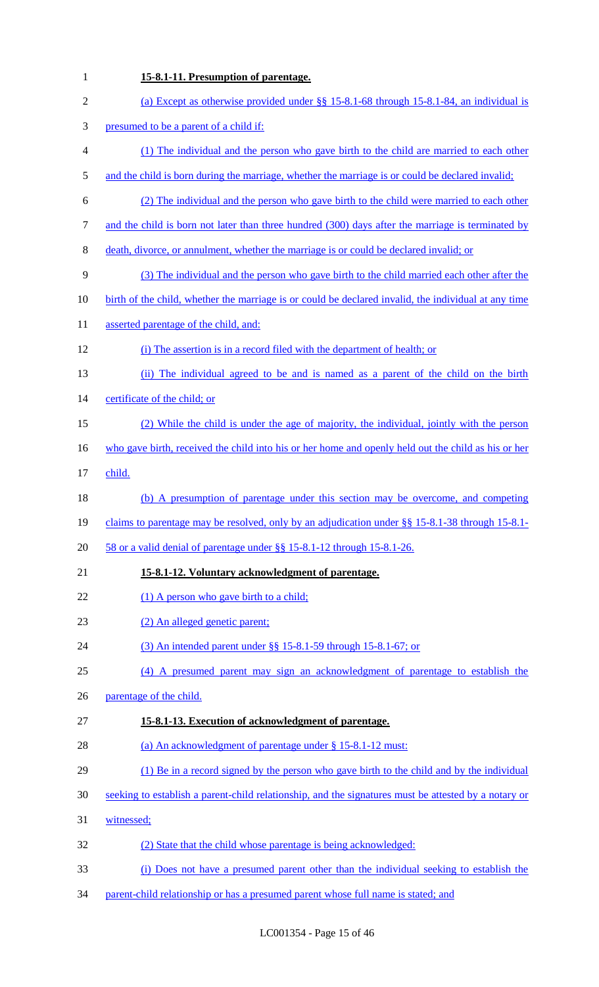| $\mathbf{1}$   | 15-8.1-11. Presumption of parentage.                                                                 |
|----------------|------------------------------------------------------------------------------------------------------|
| $\overline{2}$ | (a) Except as otherwise provided under $\S$ § 15-8.1-68 through 15-8.1-84, an individual is          |
| 3              | presumed to be a parent of a child if:                                                               |
| 4              | (1) The individual and the person who gave birth to the child are married to each other              |
| 5              | and the child is born during the marriage, whether the marriage is or could be declared invalid;     |
| 6              | (2) The individual and the person who gave birth to the child were married to each other             |
| 7              | and the child is born not later than three hundred (300) days after the marriage is terminated by    |
| 8              | death, divorce, or annulment, whether the marriage is or could be declared invalid; or               |
| 9              | (3) The individual and the person who gave birth to the child married each other after the           |
| 10             | birth of the child, whether the marriage is or could be declared invalid, the individual at any time |
| 11             | asserted parentage of the child, and:                                                                |
| 12             | (i) The assertion is in a record filed with the department of health; or                             |
| 13             | (ii) The individual agreed to be and is named as a parent of the child on the birth                  |
| 14             | certificate of the child; or                                                                         |
| 15             | (2) While the child is under the age of majority, the individual, jointly with the person            |
| 16             | who gave birth, received the child into his or her home and openly held out the child as his or her  |
| 17             | child.                                                                                               |
| 18             | (b) A presumption of parentage under this section may be overcome, and competing                     |
| 19             | claims to parentage may be resolved, only by an adjudication under $\S$ § 15-8.1-38 through 15-8.1-  |
| 20             | 58 or a valid denial of parentage under §§ 15-8.1-12 through 15-8.1-26.                              |
| 21             | 15-8.1-12. Voluntary acknowledgment of parentage.                                                    |
| 22             | (1) A person who gave birth to a child;                                                              |
| 23             | (2) An alleged genetic parent;                                                                       |
| 24             | (3) An intended parent under $\S$ § 15-8.1-59 through 15-8.1-67; or                                  |
| 25             | (4) A presumed parent may sign an acknowledgment of parentage to establish the                       |
| 26             | parentage of the child.                                                                              |
| 27             | 15-8.1-13. Execution of acknowledgment of parentage.                                                 |
| 28             | (a) An acknowledgment of parentage under § 15-8.1-12 must:                                           |
| 29             | (1) Be in a record signed by the person who gave birth to the child and by the individual            |
| 30             | seeking to establish a parent-child relationship, and the signatures must be attested by a notary or |
| 31             | witnessed;                                                                                           |
| 32             | (2) State that the child whose parentage is being acknowledged:                                      |
| 33             | (i) Does not have a presumed parent other than the individual seeking to establish the               |
| 34             | parent-child relationship or has a presumed parent whose full name is stated; and                    |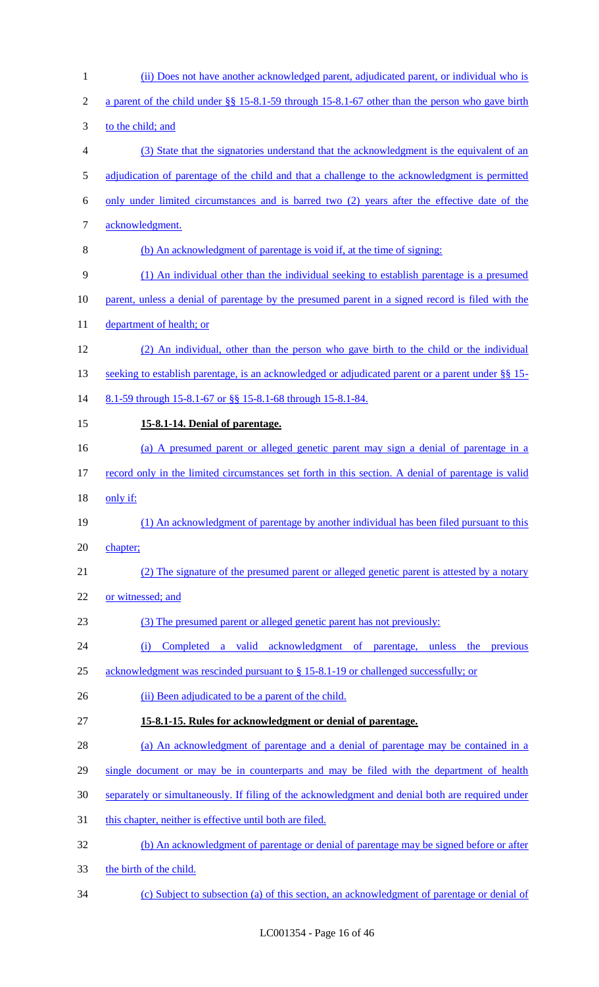| 1              | (ii) Does not have another acknowledged parent, adjudicated parent, or individual who is           |
|----------------|----------------------------------------------------------------------------------------------------|
| $\overline{2}$ | a parent of the child under §§ 15-8.1-59 through 15-8.1-67 other than the person who gave birth    |
| 3              | to the child; and                                                                                  |
| 4              | (3) State that the signatories understand that the acknowledgment is the equivalent of an          |
| 5              | adjudication of parentage of the child and that a challenge to the acknowledgment is permitted     |
| 6              | only under limited circumstances and is barred two (2) years after the effective date of the       |
| 7              | acknowledgment.                                                                                    |
| 8              | (b) An acknowledgment of parentage is void if, at the time of signing:                             |
| 9              | (1) An individual other than the individual seeking to establish parentage is a presumed           |
| 10             | parent, unless a denial of parentage by the presumed parent in a signed record is filed with the   |
| 11             | department of health; or                                                                           |
| 12             | (2) An individual, other than the person who gave birth to the child or the individual             |
| 13             | seeking to establish parentage, is an acknowledged or adjudicated parent or a parent under §§ 15-  |
| 14             | 8.1-59 through 15-8.1-67 or §§ 15-8.1-68 through 15-8.1-84.                                        |
| 15             | 15-8.1-14. Denial of parentage.                                                                    |
| 16             | (a) A presumed parent or alleged genetic parent may sign a denial of parentage in a                |
| 17             | record only in the limited circumstances set forth in this section. A denial of parentage is valid |
| 18             | only if:                                                                                           |
| 19             | (1) An acknowledgment of parentage by another individual has been filed pursuant to this           |
| 20             | chapter;                                                                                           |
| 21             | (2) The signature of the presumed parent or alleged genetic parent is attested by a notary         |
| 22             | or witnessed; and                                                                                  |
| 23             | (3) The presumed parent or alleged genetic parent has not previously:                              |
| 24             | acknowledgment of<br>Completed<br>a valid<br>previous<br>(i)<br>parentage, unless<br>the           |
| 25             | <u>acknowledgment</u> was rescinded pursuant to § 15-8.1-19 or challenged successfully; or         |
| 26             | (ii) Been adjudicated to be a parent of the child.                                                 |
| 27             | 15-8.1-15. Rules for acknowledgment or denial of parentage.                                        |
| 28             | (a) An acknowledgment of parentage and a denial of parentage may be contained in a                 |
| 29             | single document or may be in counterparts and may be filed with the department of health           |
| 30             | separately or simultaneously. If filing of the acknowledgment and denial both are required under   |
| 31             | this chapter, neither is effective until both are filed.                                           |
| 32             | (b) An acknowledgment of parentage or denial of parentage may be signed before or after            |
| 33             | the birth of the child.                                                                            |
|                |                                                                                                    |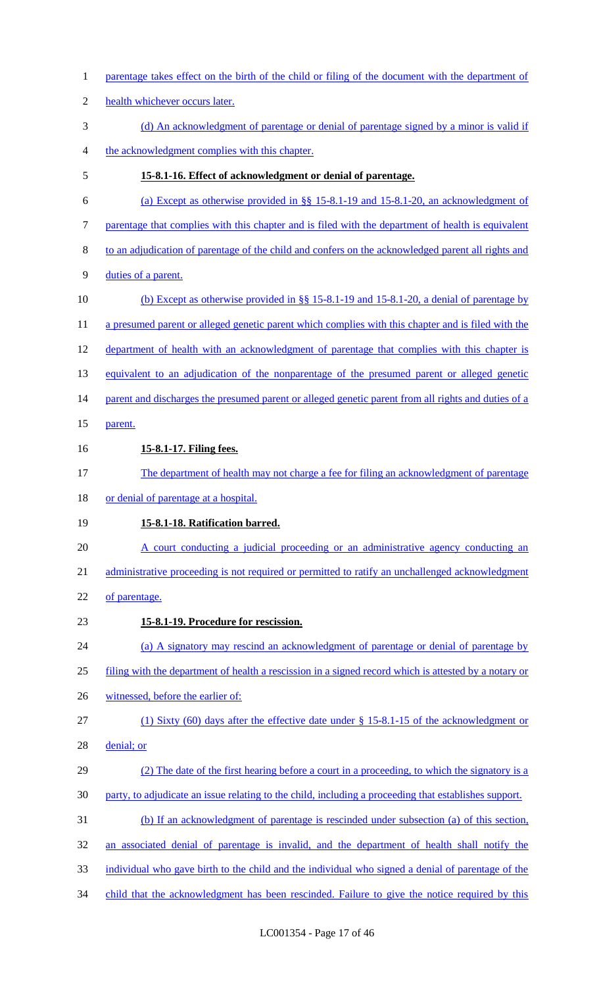parentage takes effect on the birth of the child or filing of the document with the department of health whichever occurs later. (d) An acknowledgment of parentage or denial of parentage signed by a minor is valid if the acknowledgment complies with this chapter. **15-8.1-16. Effect of acknowledgment or denial of parentage.** (a) Except as otherwise provided in §§ 15-8.1-19 and 15-8.1-20, an acknowledgment of 7 parentage that complies with this chapter and is filed with the department of health is equivalent to an adjudication of parentage of the child and confers on the acknowledged parent all rights and duties of a parent. (b) Except as otherwise provided in §§ 15-8.1-19 and 15-8.1-20, a denial of parentage by 11 a presumed parent or alleged genetic parent which complies with this chapter and is filed with the department of health with an acknowledgment of parentage that complies with this chapter is 13 equivalent to an adjudication of the nonparentage of the presumed parent or alleged genetic 14 parent and discharges the presumed parent or alleged genetic parent from all rights and duties of a parent. **15-8.1-17. Filing fees.** The department of health may not charge a fee for filing an acknowledgment of parentage 18 or denial of parentage at a hospital. **15-8.1-18. Ratification barred.** A court conducting a judicial proceeding or an administrative agency conducting an 21 administrative proceeding is not required or permitted to ratify an unchallenged acknowledgment of parentage. **15-8.1-19. Procedure for rescission.** (a) A signatory may rescind an acknowledgment of parentage or denial of parentage by filing with the department of health a rescission in a signed record which is attested by a notary or 26 witnessed, before the earlier of: (1) Sixty (60) days after the effective date under § 15-8.1-15 of the acknowledgment or denial; or (2) The date of the first hearing before a court in a proceeding, to which the signatory is a party, to adjudicate an issue relating to the child, including a proceeding that establishes support. (b) If an acknowledgment of parentage is rescinded under subsection (a) of this section, an associated denial of parentage is invalid, and the department of health shall notify the individual who gave birth to the child and the individual who signed a denial of parentage of the child that the acknowledgment has been rescinded. Failure to give the notice required by this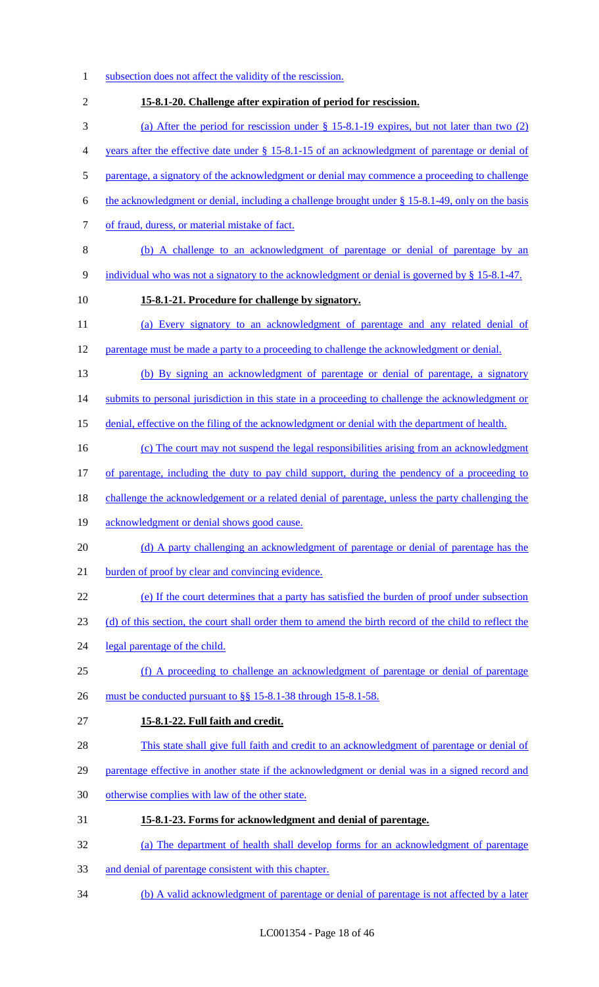| $\mathbf{1}$   | subsection does not affect the validity of the rescission.                                            |
|----------------|-------------------------------------------------------------------------------------------------------|
| $\overline{2}$ | 15-8.1-20. Challenge after expiration of period for rescission.                                       |
| 3              | (a) After the period for rescission under $\S$ 15-8.1-19 expires, but not later than two (2)          |
| 4              | years after the effective date under $\S$ 15-8.1-15 of an acknowledgment of parentage or denial of    |
| 5              | parentage, a signatory of the acknowledgment or denial may commence a proceeding to challenge         |
| 6              | the acknowledgment or denial, including a challenge brought under § 15-8.1-49, only on the basis      |
| $\tau$         | of fraud, duress, or material mistake of fact.                                                        |
| 8              | (b) A challenge to an acknowledgment of parentage or denial of parentage by an                        |
| 9              | individual who was not a signatory to the acknowledgment or denial is governed by $\S$ 15-8.1-47.     |
| 10             | 15-8.1-21. Procedure for challenge by signatory.                                                      |
| 11             | (a) Every signatory to an acknowledgment of parentage and any related denial of                       |
| 12             | parentage must be made a party to a proceeding to challenge the acknowledgment or denial.             |
| 13             | (b) By signing an acknowledgment of parentage or denial of parentage, a signatory                     |
| 14             | submits to personal jurisdiction in this state in a proceeding to challenge the acknowledgment or     |
| 15             | denial, effective on the filing of the acknowledgment or denial with the department of health.        |
| 16             | (c) The court may not suspend the legal responsibilities arising from an acknowledgment               |
| 17             | of parentage, including the duty to pay child support, during the pendency of a proceeding to         |
| 18             | challenge the acknowledgement or a related denial of parentage, unless the party challenging the      |
| 19             | acknowledgment or denial shows good cause.                                                            |
| 20             | (d) A party challenging an acknowledgment of parentage or denial of parentage has the                 |
| 21             | burden of proof by clear and convincing evidence.                                                     |
| 22             | (e) If the court determines that a party has satisfied the burden of proof under subsection           |
| 23             | (d) of this section, the court shall order them to amend the birth record of the child to reflect the |
| 24             | legal parentage of the child.                                                                         |
| 25             | (f) A proceeding to challenge an acknowledgment of parentage or denial of parentage                   |
| 26             | must be conducted pursuant to §§ 15-8.1-38 through 15-8.1-58.                                         |
| 27             | 15-8.1-22. Full faith and credit.                                                                     |
| 28             | This state shall give full faith and credit to an acknowledgment of parentage or denial of            |
| 29             | parentage effective in another state if the acknowledgment or denial was in a signed record and       |
| 30             | otherwise complies with law of the other state.                                                       |
| 31             | 15-8.1-23. Forms for acknowledgment and denial of parentage.                                          |
| 32             | (a) The department of health shall develop forms for an acknowledgment of parentage                   |
| 33             | and denial of parentage consistent with this chapter.                                                 |
| 34             | (b) A valid acknowledgment of parentage or denial of parentage is not affected by a later             |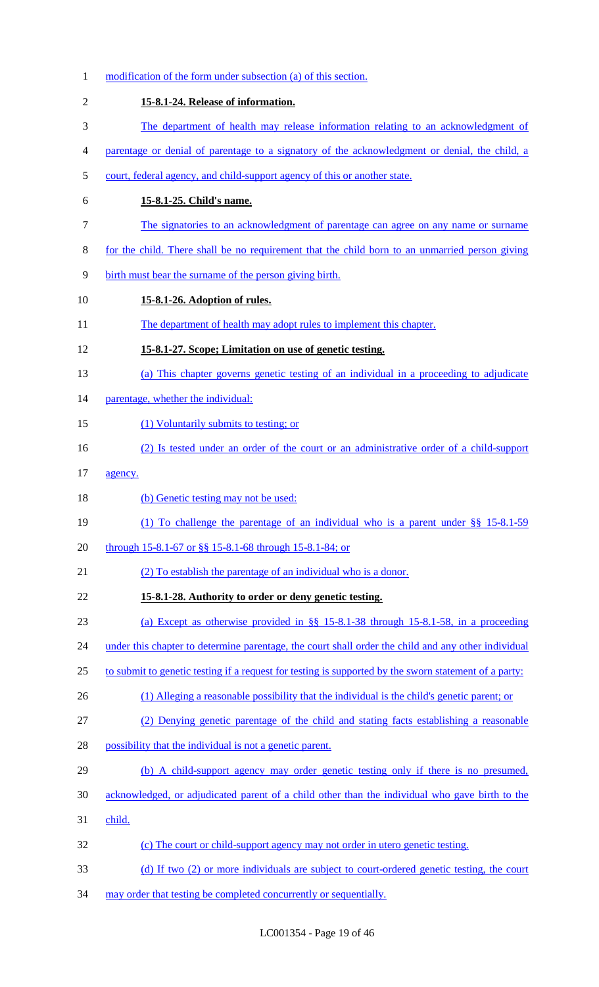| $\mathbf{1}$   | modification of the form under subsection (a) of this section.                                        |
|----------------|-------------------------------------------------------------------------------------------------------|
| $\mathfrak{2}$ | 15-8.1-24. Release of information.                                                                    |
| 3              | The department of health may release information relating to an acknowledgment of                     |
| 4              | parentage or denial of parentage to a signatory of the acknowledgment or denial, the child, a         |
| 5              | court, federal agency, and child-support agency of this or another state.                             |
| 6              | 15-8.1-25. Child's name.                                                                              |
| 7              | The signatories to an acknowledgment of parentage can agree on any name or surname                    |
| 8              | for the child. There shall be no requirement that the child born to an unmarried person giving        |
| 9              | birth must bear the surname of the person giving birth.                                               |
| 10             | 15-8.1-26. Adoption of rules.                                                                         |
| 11             | The department of health may adopt rules to implement this chapter.                                   |
| 12             | 15-8.1-27. Scope; Limitation on use of genetic testing.                                               |
| 13             | (a) This chapter governs genetic testing of an individual in a proceeding to adjudicate               |
| 14             | parentage, whether the individual:                                                                    |
| 15             | (1) Voluntarily submits to testing; or                                                                |
| 16             | (2) Is tested under an order of the court or an administrative order of a child-support               |
| 17             | agency.                                                                                               |
| 18             | (b) Genetic testing may not be used:                                                                  |
| 19             | (1) To challenge the parentage of an individual who is a parent under $\S$ {\mathbf{s}}\$ 15-8.1-59   |
| 20             | through 15-8.1-67 or §§ 15-8.1-68 through 15-8.1-84; or                                               |
| 21             | (2) To establish the parentage of an individual who is a donor.                                       |
| 22             | 15-8.1-28. Authority to order or deny genetic testing.                                                |
| 23             | (a) Except as otherwise provided in $\S$ 15-8.1-38 through 15-8.1-58, in a proceeding                 |
| 24             | under this chapter to determine parentage, the court shall order the child and any other individual   |
| 25             | to submit to genetic testing if a request for testing is supported by the sworn statement of a party: |
| 26             | (1) Alleging a reasonable possibility that the individual is the child's genetic parent; or           |
| 27             | (2) Denying genetic parentage of the child and stating facts establishing a reasonable                |
| 28             | possibility that the individual is not a genetic parent.                                              |
| 29             | (b) A child-support agency may order genetic testing only if there is no presumed,                    |
| 30             | acknowledged, or adjudicated parent of a child other than the individual who gave birth to the        |
| 31             | child.                                                                                                |
| 32             | (c) The court or child-support agency may not order in utero genetic testing.                         |
| 33             | (d) If two (2) or more individuals are subject to court-ordered genetic testing, the court            |
| 34             | may order that testing be completed concurrently or sequentially.                                     |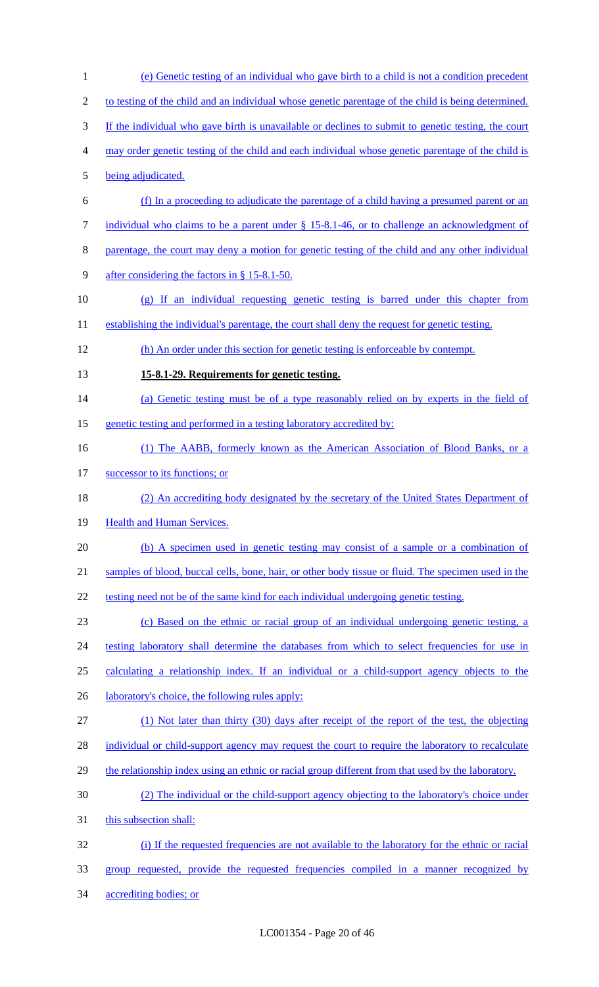(e) Genetic testing of an individual who gave birth to a child is not a condition precedent to testing of the child and an individual whose genetic parentage of the child is being determined. 3 If the individual who gave birth is unavailable or declines to submit to genetic testing, the court may order genetic testing of the child and each individual whose genetic parentage of the child is being adjudicated. (f) In a proceeding to adjudicate the parentage of a child having a presumed parent or an individual who claims to be a parent under § 15-8.1-46, or to challenge an acknowledgment of parentage, the court may deny a motion for genetic testing of the child and any other individual after considering the factors in § 15-8.1-50. (g) If an individual requesting genetic testing is barred under this chapter from 11 establishing the individual's parentage, the court shall deny the request for genetic testing. (h) An order under this section for genetic testing is enforceable by contempt. **15-8.1-29. Requirements for genetic testing.** 14 (a) Genetic testing must be of a type reasonably relied on by experts in the field of 15 genetic testing and performed in a testing laboratory accredited by: 16 (1) The AABB, formerly known as the American Association of Blood Banks, or a 17 successor to its functions; or (2) An accrediting body designated by the secretary of the United States Department of 19 Health and Human Services. (b) A specimen used in genetic testing may consist of a sample or a combination of samples of blood, buccal cells, bone, hair, or other body tissue or fluid. The specimen used in the 22 testing need not be of the same kind for each individual undergoing genetic testing. (c) Based on the ethnic or racial group of an individual undergoing genetic testing, a 24 testing laboratory shall determine the databases from which to select frequencies for use in calculating a relationship index. If an individual or a child-support agency objects to the 26 laboratory's choice, the following rules apply: (1) Not later than thirty (30) days after receipt of the report of the test, the objecting 28 individual or child-support agency may request the court to require the laboratory to recalculate 29 the relationship index using an ethnic or racial group different from that used by the laboratory. (2) The individual or the child-support agency objecting to the laboratory's choice under this subsection shall: (i) If the requested frequencies are not available to the laboratory for the ethnic or racial group requested, provide the requested frequencies compiled in a manner recognized by accrediting bodies; or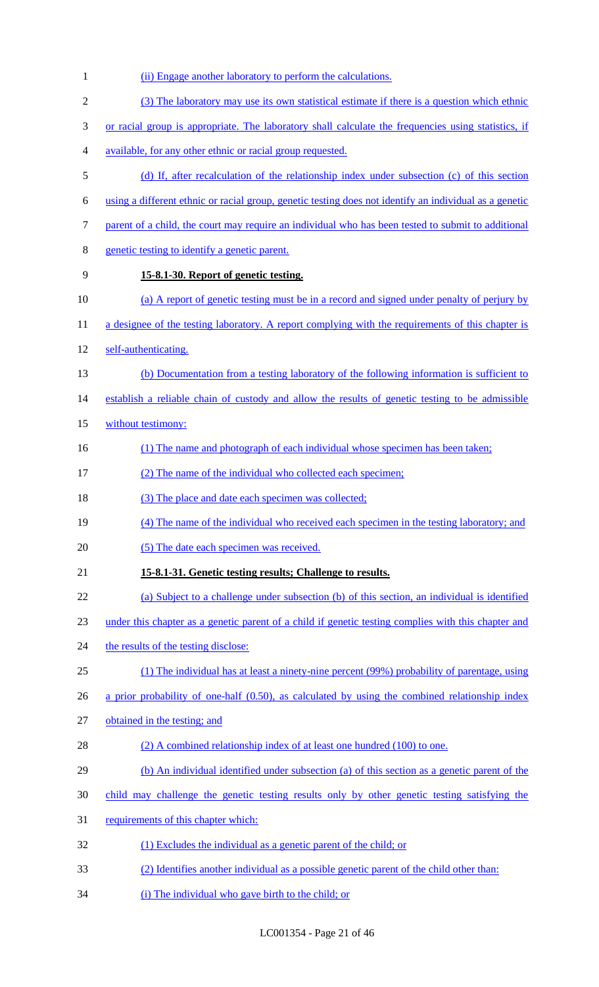(ii) Engage another laboratory to perform the calculations. (3) The laboratory may use its own statistical estimate if there is a question which ethnic or racial group is appropriate. The laboratory shall calculate the frequencies using statistics, if available, for any other ethnic or racial group requested. (d) If, after recalculation of the relationship index under subsection (c) of this section using a different ethnic or racial group, genetic testing does not identify an individual as a genetic 7 parent of a child, the court may require an individual who has been tested to submit to additional genetic testing to identify a genetic parent. **15-8.1-30. Report of genetic testing.** 10 (a) A report of genetic testing must be in a record and signed under penalty of perjury by 11 a designee of the testing laboratory. A report complying with the requirements of this chapter is self-authenticating. 13 (b) Documentation from a testing laboratory of the following information is sufficient to 14 establish a reliable chain of custody and allow the results of genetic testing to be admissible 15 without testimony: 16 (1) The name and photograph of each individual whose specimen has been taken; 17 (2) The name of the individual who collected each specimen; 18 (3) The place and date each specimen was collected; (4) The name of the individual who received each specimen in the testing laboratory; and 20 (5) The date each specimen was received. **15-8.1-31. Genetic testing results; Challenge to results.** (a) Subject to a challenge under subsection (b) of this section, an individual is identified under this chapter as a genetic parent of a child if genetic testing complies with this chapter and 24 the results of the testing disclose: (1) The individual has at least a ninety-nine percent (99%) probability of parentage, using 26 a prior probability of one-half (0.50), as calculated by using the combined relationship index obtained in the testing; and 28 (2) A combined relationship index of at least one hundred (100) to one. (b) An individual identified under subsection (a) of this section as a genetic parent of the child may challenge the genetic testing results only by other genetic testing satisfying the requirements of this chapter which: (1) Excludes the individual as a genetic parent of the child; or (2) Identifies another individual as a possible genetic parent of the child other than: (i) The individual who gave birth to the child; or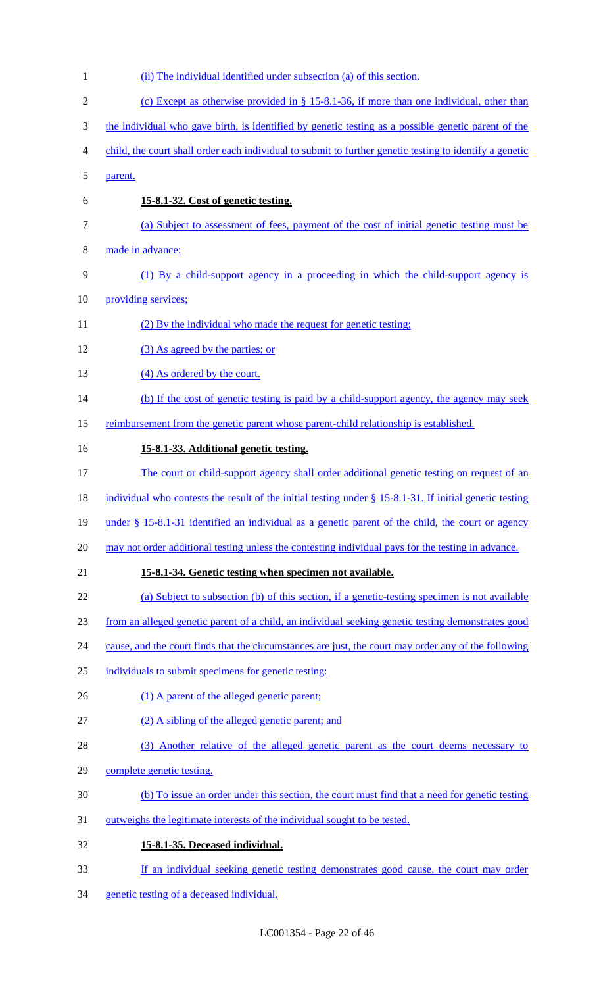(ii) The individual identified under subsection (a) of this section. (c) Except as otherwise provided in § 15-8.1-36, if more than one individual, other than the individual who gave birth, is identified by genetic testing as a possible genetic parent of the 4 child, the court shall order each individual to submit to further genetic testing to identify a genetic parent. **15-8.1-32. Cost of genetic testing.** (a) Subject to assessment of fees, payment of the cost of initial genetic testing must be made in advance: (1) By a child-support agency in a proceeding in which the child-support agency is providing services; 11 (2) By the individual who made the request for genetic testing; (3) As agreed by the parties; or 13 (4) As ordered by the court. 14 (b) If the cost of genetic testing is paid by a child-support agency, the agency may seek 15 reimbursement from the genetic parent whose parent-child relationship is established. **15-8.1-33. Additional genetic testing.** 17 The court or child-support agency shall order additional genetic testing on request of an 18 individual who contests the result of the initial testing under § 15-8.1-31. If initial genetic testing under § 15-8.1-31 identified an individual as a genetic parent of the child, the court or agency may not order additional testing unless the contesting individual pays for the testing in advance. **15-8.1-34. Genetic testing when specimen not available.** (a) Subject to subsection (b) of this section, if a genetic-testing specimen is not available from an alleged genetic parent of a child, an individual seeking genetic testing demonstrates good 24 cause, and the court finds that the circumstances are just, the court may order any of the following individuals to submit specimens for genetic testing: 26 (1) A parent of the alleged genetic parent; (2) A sibling of the alleged genetic parent; and (3) Another relative of the alleged genetic parent as the court deems necessary to complete genetic testing. (b) To issue an order under this section, the court must find that a need for genetic testing outweighs the legitimate interests of the individual sought to be tested. **15-8.1-35. Deceased individual.** If an individual seeking genetic testing demonstrates good cause, the court may order genetic testing of a deceased individual.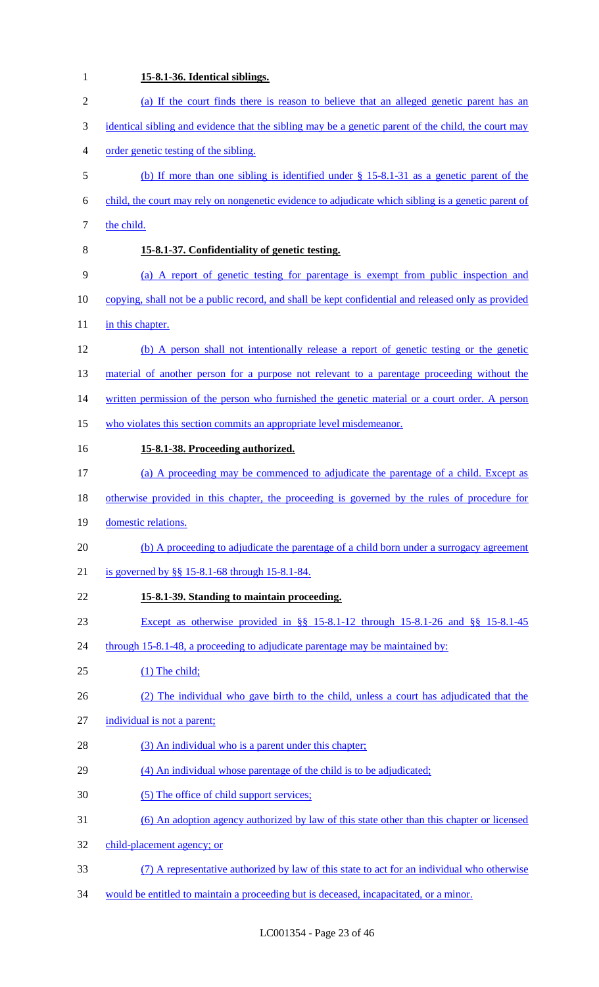| $\mathbf{1}$   | 15-8.1-36. Identical siblings.                                                                      |
|----------------|-----------------------------------------------------------------------------------------------------|
| $\mathfrak{2}$ | (a) If the court finds there is reason to believe that an alleged genetic parent has an             |
| 3              | identical sibling and evidence that the sibling may be a genetic parent of the child, the court may |
| $\overline{4}$ | order genetic testing of the sibling.                                                               |
| 5              | (b) If more than one sibling is identified under $\S 15-8.1-31$ as a genetic parent of the          |
| 6              | child, the court may rely on nongenetic evidence to adjudicate which sibling is a genetic parent of |
| $\tau$         | the child.                                                                                          |
| 8              | 15-8.1-37. Confidentiality of genetic testing.                                                      |
| 9              | (a) A report of genetic testing for parentage is exempt from public inspection and                  |
| 10             | copying, shall not be a public record, and shall be kept confidential and released only as provided |
| 11             | in this chapter.                                                                                    |
| 12             | (b) A person shall not intentionally release a report of genetic testing or the genetic             |
| 13             | material of another person for a purpose not relevant to a parentage proceeding without the         |
| 14             | written permission of the person who furnished the genetic material or a court order. A person      |
| 15             | who violates this section commits an appropriate level misdemeanor.                                 |
| 16             | 15-8.1-38. Proceeding authorized.                                                                   |
| 17             | (a) A proceeding may be commenced to adjudicate the parentage of a child. Except as                 |
| 18             | otherwise provided in this chapter, the proceeding is governed by the rules of procedure for        |
| 19             | domestic relations.                                                                                 |
| 20             | (b) A proceeding to adjudicate the parentage of a child born under a surrogacy agreement            |
| 21             | is governed by §§ 15-8.1-68 through 15-8.1-84.                                                      |
| 22             | 15-8.1-39. Standing to maintain proceeding.                                                         |
| 23             | Except as otherwise provided in §§ 15-8.1-12 through 15-8.1-26 and §§ 15-8.1-45                     |
| 24             | through 15-8.1-48, a proceeding to adjudicate parentage may be maintained by:                       |
| 25             | $(1)$ The child;                                                                                    |
| 26             | (2) The individual who gave birth to the child, unless a court has adjudicated that the             |
| 27             | individual is not a parent;                                                                         |
| 28             | (3) An individual who is a parent under this chapter;                                               |
| 29             | (4) An individual whose parentage of the child is to be adjudicated;                                |
| 30             | (5) The office of child support services;                                                           |
| 31             | (6) An adoption agency authorized by law of this state other than this chapter or licensed          |
| 32             | child-placement agency; or                                                                          |
| 33             | (7) A representative authorized by law of this state to act for an individual who otherwise         |
| 34             | would be entitled to maintain a proceeding but is deceased, incapacitated, or a minor.              |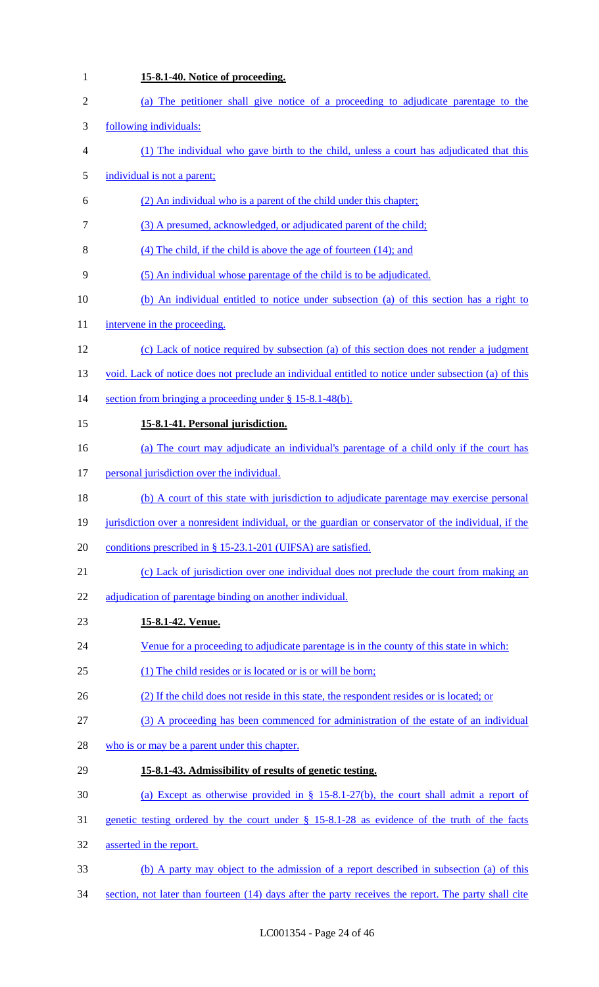| $\mathbf{1}$   | 15-8.1-40. Notice of proceeding.                                                                                  |
|----------------|-------------------------------------------------------------------------------------------------------------------|
| $\overline{2}$ | (a) The petitioner shall give notice of a proceeding to adjudicate parentage to the                               |
| 3              | following individuals:                                                                                            |
| 4              | (1) The individual who gave birth to the child, unless a court has adjudicated that this                          |
| 5              | individual is not a parent;                                                                                       |
| 6              | (2) An individual who is a parent of the child under this chapter;                                                |
| 7              | (3) A presumed, acknowledged, or adjudicated parent of the child;                                                 |
| 8              | $(4)$ The child, if the child is above the age of fourteen $(14)$ ; and                                           |
| 9              | (5) An individual whose parentage of the child is to be adjudicated.                                              |
| 10             | (b) An individual entitled to notice under subsection (a) of this section has a right to                          |
| 11             | intervene in the proceeding.                                                                                      |
| 12             | (c) Lack of notice required by subsection (a) of this section does not render a judgment                          |
| 13             | void. Lack of notice does not preclude an individual entitled to notice under subsection (a) of this              |
| 14             | section from bringing a proceeding under $\S$ 15-8.1-48(b).                                                       |
| 15             | 15-8.1-41. Personal jurisdiction.                                                                                 |
| 16             | (a) The court may adjudicate an individual's parentage of a child only if the court has                           |
| 17             | personal jurisdiction over the individual.                                                                        |
| 18             | (b) A court of this state with jurisdiction to adjudicate parentage may exercise personal                         |
| 19             | jurisdiction over a nonresident individual, or the guardian or conservator of the individual, if the              |
| 20             | conditions prescribed in § 15-23.1-201 (UIFSA) are satisfied.                                                     |
| 21             | (c) Lack of jurisdiction over one individual does not preclude the court from making an                           |
| 22             | adjudication of parentage binding on another individual.                                                          |
| 23             | 15-8.1-42. Venue.                                                                                                 |
| 24             | Venue for a proceeding to adjudicate parentage is in the county of this state in which:                           |
| 25             | (1) The child resides or is located or is or will be born;                                                        |
| 26             | (2) If the child does not reside in this state, the respondent resides or is located; or                          |
| 27             | (3) A proceeding has been commenced for administration of the estate of an individual                             |
| 28             | who is or may be a parent under this chapter.                                                                     |
| 29             | 15-8.1-43. Admissibility of results of genetic testing.                                                           |
| 30             | (a) Except as otherwise provided in § 15-8.1-27(b), the court shall admit a report of                             |
| 31             | <u>genetic testing ordered by the court under <math>\S</math> 15-8.1-28 as evidence of the truth of the facts</u> |
| 32             | asserted in the report.                                                                                           |
| 33             | (b) A party may object to the admission of a report described in subsection (a) of this                           |
| 34             | section, not later than fourteen (14) days after the party receives the report. The party shall cite              |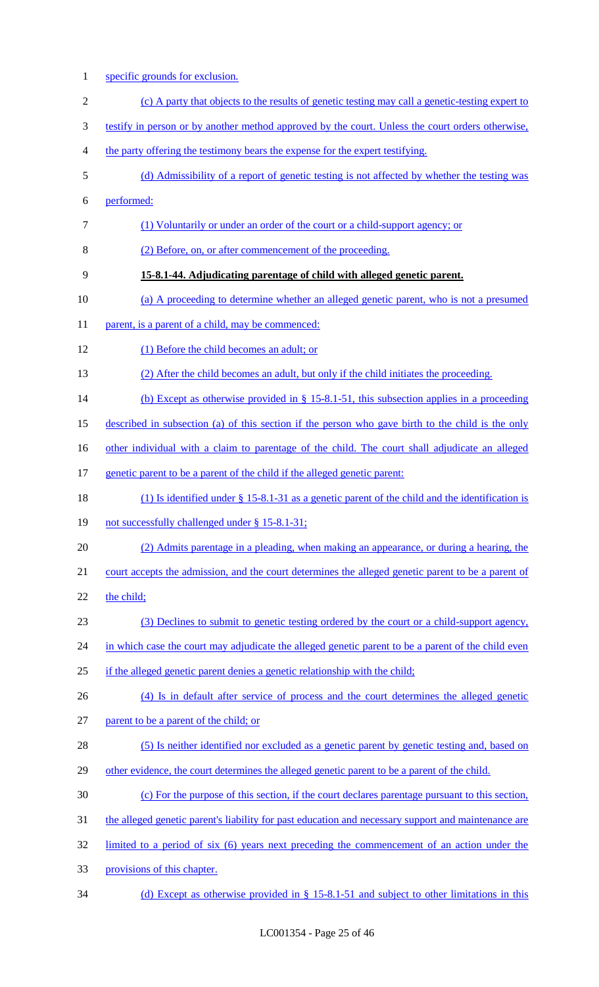1 specific grounds for exclusion.

| $\mathbf{2}$ | (c) A party that objects to the results of genetic testing may call a genetic-testing expert to     |
|--------------|-----------------------------------------------------------------------------------------------------|
| 3            | testify in person or by another method approved by the court. Unless the court orders otherwise,    |
| 4            | the party offering the testimony bears the expense for the expert testifying.                       |
| 5            | (d) Admissibility of a report of genetic testing is not affected by whether the testing was         |
| 6            | performed:                                                                                          |
| 7            | (1) Voluntarily or under an order of the court or a child-support agency; or                        |
| 8            | (2) Before, on, or after commencement of the proceeding.                                            |
| 9            | 15-8.1-44. Adjudicating parentage of child with alleged genetic parent.                             |
| 10           | (a) A proceeding to determine whether an alleged genetic parent, who is not a presumed              |
| 11           | parent, is a parent of a child, may be commenced:                                                   |
| 12           | (1) Before the child becomes an adult; or                                                           |
| 13           | (2) After the child becomes an adult, but only if the child initiates the proceeding.               |
| 14           | (b) Except as otherwise provided in $\S$ 15-8.1-51, this subsection applies in a proceeding         |
| 15           | described in subsection (a) of this section if the person who gave birth to the child is the only   |
| 16           | other individual with a claim to parentage of the child. The court shall adjudicate an alleged      |
| 17           | genetic parent to be a parent of the child if the alleged genetic parent:                           |
| 18           | (1) Is identified under $\S 15-8.1-31$ as a genetic parent of the child and the identification is   |
| 19           | not successfully challenged under § 15-8.1-31;                                                      |
| 20           | (2) Admits parentage in a pleading, when making an appearance, or during a hearing, the             |
| 21           | court accepts the admission, and the court determines the alleged genetic parent to be a parent of  |
| 22           | the child;                                                                                          |
| 23           | (3) Declines to submit to genetic testing ordered by the court or a child-support agency,           |
| 24           | in which case the court may adjudicate the alleged genetic parent to be a parent of the child even  |
| 25           | if the alleged genetic parent denies a genetic relationship with the child;                         |
| 26           | (4) Is in default after service of process and the court determines the alleged genetic             |
| 27           | parent to be a parent of the child; or                                                              |
| 28           | (5) Is neither identified nor excluded as a genetic parent by genetic testing and, based on         |
| 29           | other evidence, the court determines the alleged genetic parent to be a parent of the child.        |
| 30           | (c) For the purpose of this section, if the court declares parentage pursuant to this section,      |
| 31           | the alleged genetic parent's liability for past education and necessary support and maintenance are |
| 32           | limited to a period of six (6) years next preceding the commencement of an action under the         |
| 33           | provisions of this chapter.                                                                         |

34 (d) Except as otherwise provided in § 15-8.1-51 and subject to other limitations in this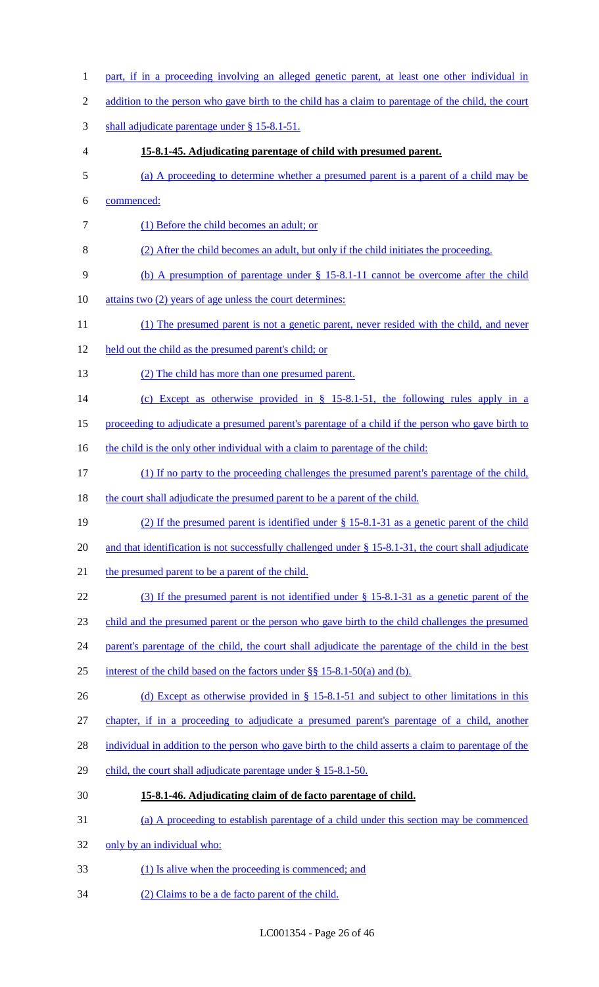- part, if in a proceeding involving an alleged genetic parent, at least one other individual in
- 2 addition to the person who gave birth to the child has a claim to parentage of the child, the court
- shall adjudicate parentage under § 15-8.1-51.
- **15-8.1-45. Adjudicating parentage of child with presumed parent.**
- (a) A proceeding to determine whether a presumed parent is a parent of a child may be
- commenced:
- (1) Before the child becomes an adult; or
- (2) After the child becomes an adult, but only if the child initiates the proceeding.
- (b) A presumption of parentage under § 15-8.1-11 cannot be overcome after the child
- attains two (2) years of age unless the court determines:
- (1) The presumed parent is not a genetic parent, never resided with the child, and never
- held out the child as the presumed parent's child; or
- 13 (2) The child has more than one presumed parent.
- (c) Except as otherwise provided in § 15-8.1-51, the following rules apply in a
- proceeding to adjudicate a presumed parent's parentage of a child if the person who gave birth to
- 16 the child is the only other individual with a claim to parentage of the child:
- (1) If no party to the proceeding challenges the presumed parent's parentage of the child,
- 18 the court shall adjudicate the presumed parent to be a parent of the child.
- (2) If the presumed parent is identified under § 15-8.1-31 as a genetic parent of the child 20 and that identification is not successfully challenged under § 15-8.1-31, the court shall adjudicate 21 the presumed parent to be a parent of the child.
- (3) If the presumed parent is not identified under § 15-8.1-31 as a genetic parent of the
- child and the presumed parent or the person who gave birth to the child challenges the presumed
- 24 parent's parentage of the child, the court shall adjudicate the parentage of the child in the best
- 25 interest of the child based on the factors under  $\S$ § 15-8.1-50(a) and (b).
- 26 (d) Except as otherwise provided in § 15-8.1-51 and subject to other limitations in this
- chapter, if in a proceeding to adjudicate a presumed parent's parentage of a child, another
- 28 individual in addition to the person who gave birth to the child asserts a claim to parentage of the
- child, the court shall adjudicate parentage under § 15-8.1-50.
- 

# **15-8.1-46. Adjudicating claim of de facto parentage of child.**

- (a) A proceeding to establish parentage of a child under this section may be commenced
- only by an individual who:
- (1) Is alive when the proceeding is commenced; and
- (2) Claims to be a de facto parent of the child.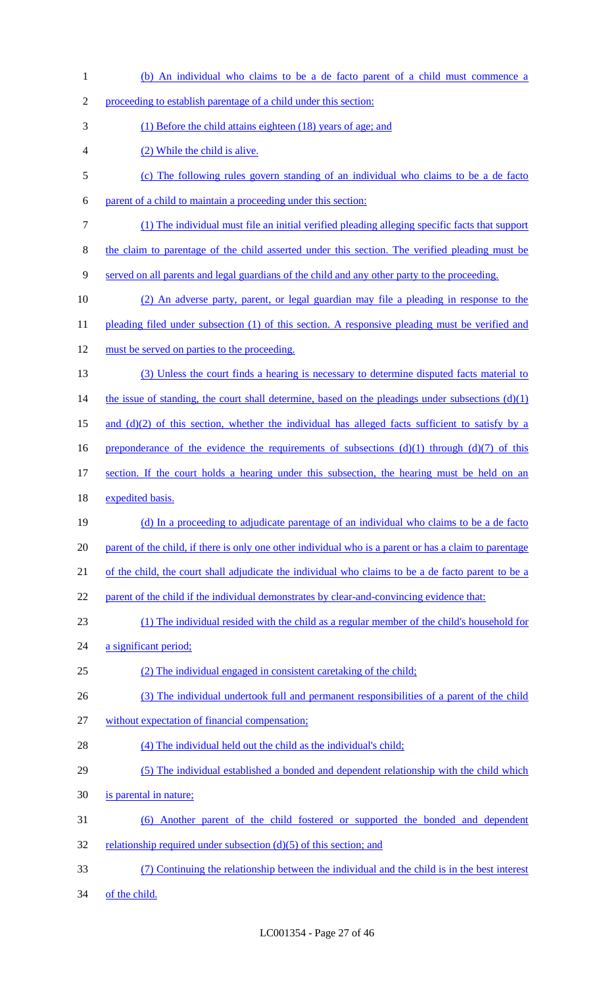| $\mathbf{1}$   | (b) An individual who claims to be a de facto parent of a child must commence a                        |
|----------------|--------------------------------------------------------------------------------------------------------|
| $\mathfrak{2}$ | proceeding to establish parentage of a child under this section:                                       |
| 3              | (1) Before the child attains eighteen (18) years of age; and                                           |
| 4              | (2) While the child is alive.                                                                          |
| 5              | (c) The following rules govern standing of an individual who claims to be a de facto                   |
| 6              | parent of a child to maintain a proceeding under this section:                                         |
| $\tau$         | (1) The individual must file an initial verified pleading alleging specific facts that support         |
| $8\,$          | the claim to parentage of the child asserted under this section. The verified pleading must be         |
| 9              | served on all parents and legal guardians of the child and any other party to the proceeding.          |
| 10             | (2) An adverse party, parent, or legal guardian may file a pleading in response to the                 |
| 11             | pleading filed under subsection (1) of this section. A responsive pleading must be verified and        |
| 12             | must be served on parties to the proceeding.                                                           |
| 13             | (3) Unless the court finds a hearing is necessary to determine disputed facts material to              |
| 14             | the issue of standing, the court shall determine, based on the pleadings under subsections $(d)(1)$    |
| 15             | and $(d)(2)$ of this section, whether the individual has alleged facts sufficient to satisfy by a      |
| 16             | preponderance of the evidence the requirements of subsections $(d)(1)$ through $(d)(7)$ of this        |
| 17             | section. If the court holds a hearing under this subsection, the hearing must be held on an            |
|                |                                                                                                        |
| 18             | expedited basis.                                                                                       |
| 19             | (d) In a proceeding to adjudicate parentage of an individual who claims to be a de facto               |
| 20             | parent of the child, if there is only one other individual who is a parent or has a claim to parentage |
| 21             | of the child, the court shall adjudicate the individual who claims to be a de facto parent to be a     |
| 22             | parent of the child if the individual demonstrates by clear-and-convincing evidence that:              |
| 23             | (1) The individual resided with the child as a regular member of the child's household for             |
| 24             | a significant period;                                                                                  |
| 25             | (2) The individual engaged in consistent caretaking of the child;                                      |
| 26             | (3) The individual undertook full and permanent responsibilities of a parent of the child              |
| 27             | without expectation of financial compensation;                                                         |
| 28             | (4) The individual held out the child as the individual's child;                                       |
| 29             | (5) The individual established a bonded and dependent relationship with the child which                |
| 30             | is parental in nature;                                                                                 |
| 31             | (6) Another parent of the child fostered or supported the bonded and dependent                         |
| 32             | relationship required under subsection $(d)(5)$ of this section; and                                   |
| 33             | (7) Continuing the relationship between the individual and the child is in the best interest           |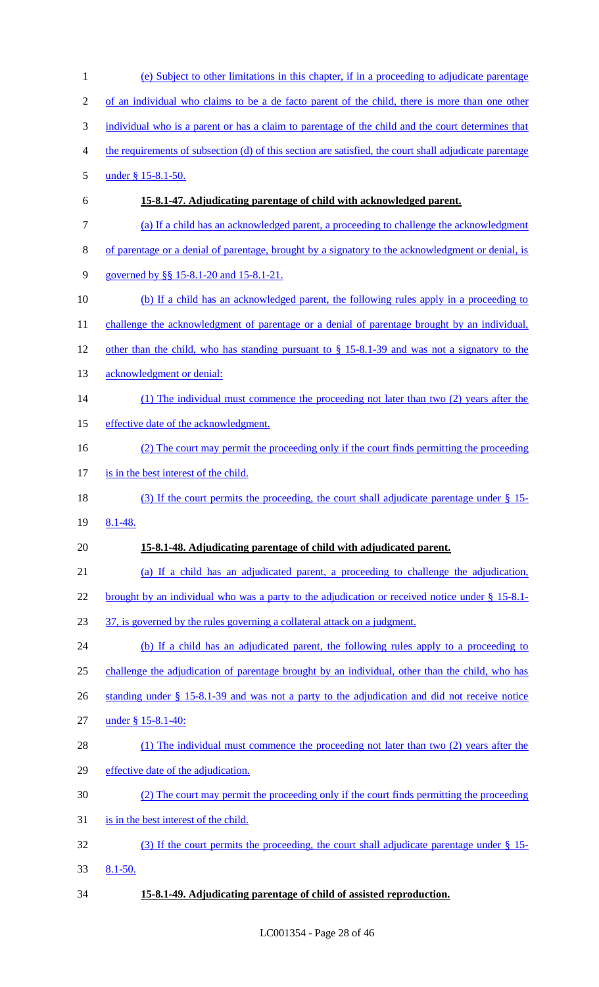| $\mathbf{1}$   | (e) Subject to other limitations in this chapter, if in a proceeding to adjudicate parentage           |
|----------------|--------------------------------------------------------------------------------------------------------|
| $\mathfrak{2}$ | of an individual who claims to be a de facto parent of the child, there is more than one other         |
| 3              | individual who is a parent or has a claim to parentage of the child and the court determines that      |
| 4              | the requirements of subsection (d) of this section are satisfied, the court shall adjudicate parentage |
| 5              | under § 15-8.1-50.                                                                                     |
| 6              | 15-8.1-47. Adjudicating parentage of child with acknowledged parent.                                   |
| $\tau$         | (a) If a child has an acknowledged parent, a proceeding to challenge the acknowledgment                |
| 8              | of parentage or a denial of parentage, brought by a signatory to the acknowledgment or denial, is      |
| 9              | governed by §§ 15-8.1-20 and 15-8.1-21.                                                                |
| 10             | (b) If a child has an acknowledged parent, the following rules apply in a proceeding to                |
| 11             | challenge the acknowledgment of parentage or a denial of parentage brought by an individual,           |
| 12             | other than the child, who has standing pursuant to $\S$ 15-8.1-39 and was not a signatory to the       |
| 13             | acknowledgment or denial:                                                                              |
| 14             | (1) The individual must commence the proceeding not later than two (2) years after the                 |
| 15             | effective date of the acknowledgment.                                                                  |
| 16             | (2) The court may permit the proceeding only if the court finds permitting the proceeding              |
| 17             | is in the best interest of the child.                                                                  |
| 18             | (3) If the court permits the proceeding, the court shall adjudicate parentage under $\S$ 15-           |
| 19             | 8.1-48.                                                                                                |
| 20             | 15-8.1-48. Adjudicating parentage of child with adjudicated parent.                                    |
| 21             | (a) If a child has an adjudicated parent, a proceeding to challenge the adjudication,                  |
| 22             | brought by an individual who was a party to the adjudication or received notice under $\S$ 15-8.1-     |
| 23             | 37, is governed by the rules governing a collateral attack on a judgment.                              |
| 24             | (b) If a child has an adjudicated parent, the following rules apply to a proceeding to                 |
| 25             | challenge the adjudication of parentage brought by an individual, other than the child, who has        |
| 26             | standing under $\S$ 15-8.1-39 and was not a party to the adjudication and did not receive notice       |
| 27             | under § 15-8.1-40:                                                                                     |
| 28             | (1) The individual must commence the proceeding not later than two (2) years after the                 |
| 29             | effective date of the adjudication.                                                                    |
| 30             | (2) The court may permit the proceeding only if the court finds permitting the proceeding              |
| 31             | is in the best interest of the child.                                                                  |
| 32             | (3) If the court permits the proceeding, the court shall adjudicate parentage under $\S$ 15-           |
| 33             | $8.1 - 50.$                                                                                            |
|                |                                                                                                        |

**15-8.1-49. Adjudicating parentage of child of assisted reproduction.**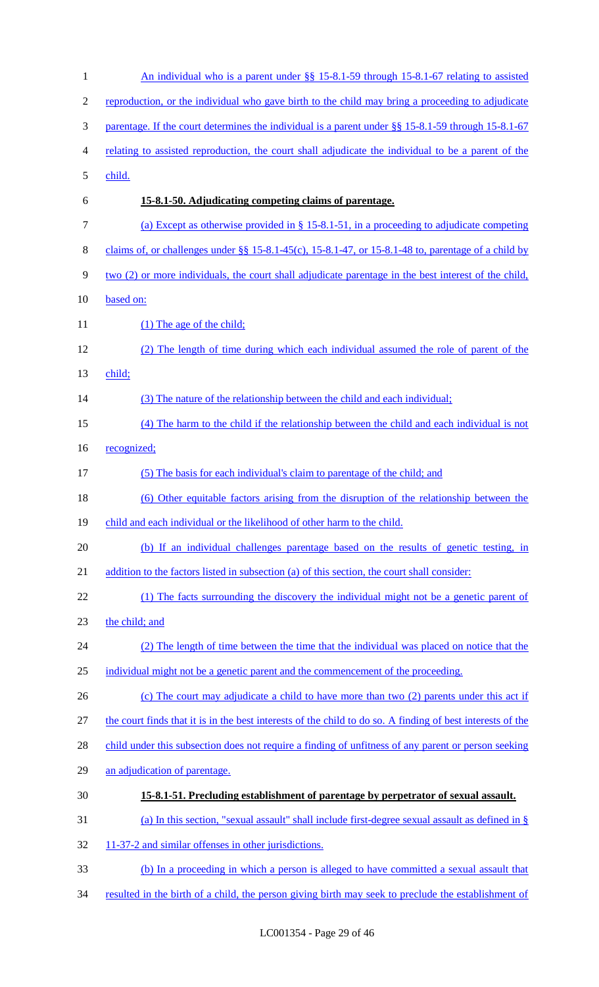| $\mathbf{1}$             | <u>An individual who is a parent under §§ 15-8.1-59 through 15-8.1-67 relating to assisted</u>             |
|--------------------------|------------------------------------------------------------------------------------------------------------|
| $\overline{2}$           | reproduction, or the individual who gave birth to the child may bring a proceeding to adjudicate           |
| 3                        | parentage. If the court determines the individual is a parent under §§ 15-8.1-59 through 15-8.1-67         |
| $\overline{\mathcal{A}}$ | relating to assisted reproduction, the court shall adjudicate the individual to be a parent of the         |
| 5                        | child.                                                                                                     |
| 6                        | 15-8.1-50. Adjudicating competing claims of parentage.                                                     |
| $\tau$                   | (a) Except as otherwise provided in § 15-8.1-51, in a proceeding to adjudicate competing                   |
| $8\,$                    | claims of, or challenges under §§ 15-8.1-45(c), 15-8.1-47, or 15-8.1-48 to, parentage of a child by        |
| $\mathbf{9}$             | two (2) or more individuals, the court shall adjudicate parentage in the best interest of the child,       |
| 10                       | based on:                                                                                                  |
| 11                       | $(1)$ The age of the child;                                                                                |
| 12                       | (2) The length of time during which each individual assumed the role of parent of the                      |
| 13                       | child;                                                                                                     |
| 14                       | (3) The nature of the relationship between the child and each individual;                                  |
| 15                       | (4) The harm to the child if the relationship between the child and each individual is not                 |
| 16                       | recognized;                                                                                                |
| 17                       | (5) The basis for each individual's claim to parentage of the child; and                                   |
| 18                       | (6) Other equitable factors arising from the disruption of the relationship between the                    |
| 19                       | child and each individual or the likelihood of other harm to the child.                                    |
| 20                       | (b) If an individual challenges parentage based on the results of genetic testing, in                      |
| 21                       | addition to the factors listed in subsection (a) of this section, the court shall consider:                |
| 22                       | (1) The facts surrounding the discovery the individual might not be a genetic parent of                    |
| 23                       | the child; and                                                                                             |
| 24                       | (2) The length of time between the time that the individual was placed on notice that the                  |
| 25                       | individual might not be a genetic parent and the commencement of the proceeding.                           |
| 26                       | (c) The court may adjudicate a child to have more than two (2) parents under this act if                   |
| 27                       | the court finds that it is in the best interests of the child to do so. A finding of best interests of the |
| 28                       | child under this subsection does not require a finding of unfitness of any parent or person seeking        |
| 29                       | an adjudication of parentage.                                                                              |
| 30                       | 15-8.1-51. Precluding establishment of parentage by perpetrator of sexual assault.                         |
| 31                       | (a) In this section, "sexual assault" shall include first-degree sexual assault as defined in $\S$         |
| 32                       | 11-37-2 and similar offenses in other jurisdictions.                                                       |
| 33                       | (b) In a proceeding in which a person is alleged to have committed a sexual assault that                   |
| 34                       | resulted in the birth of a child, the person giving birth may seek to preclude the establishment of        |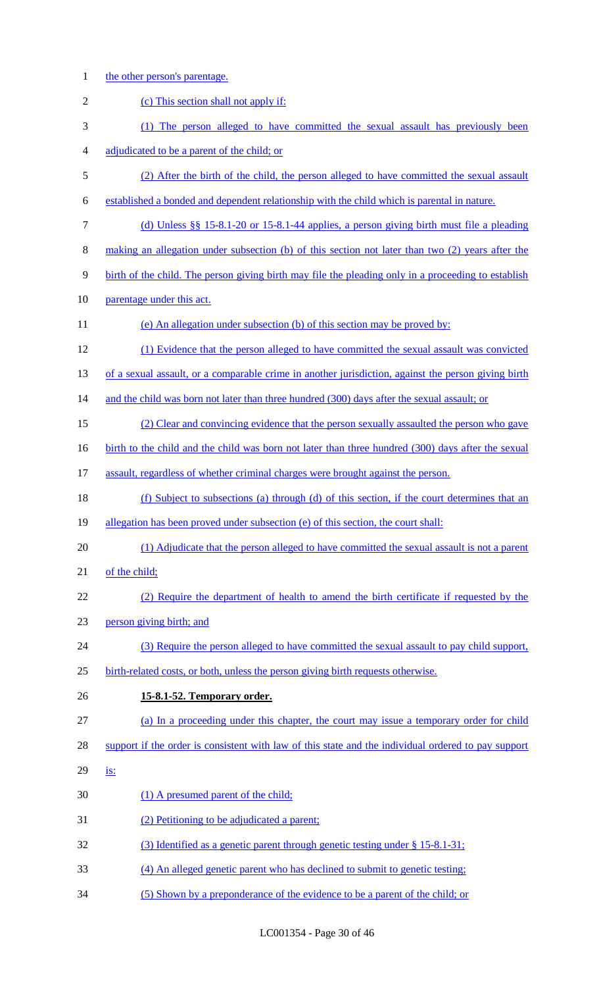| $\mathbf{1}$   | the other person's parentage.                                                                       |
|----------------|-----------------------------------------------------------------------------------------------------|
| $\mathfrak{2}$ | (c) This section shall not apply if:                                                                |
| 3              | (1) The person alleged to have committed the sexual assault has previously been                     |
| 4              | adjudicated to be a parent of the child; or                                                         |
| 5              | (2) After the birth of the child, the person alleged to have committed the sexual assault           |
| 6              | established a bonded and dependent relationship with the child which is parental in nature.         |
| $\tau$         | (d) Unless $\S$ $\S$ 15-8.1-20 or 15-8.1-44 applies, a person giving birth must file a pleading     |
| $8\,$          | making an allegation under subsection (b) of this section not later than two (2) years after the    |
| 9              | birth of the child. The person giving birth may file the pleading only in a proceeding to establish |
| 10             | parentage under this act.                                                                           |
| 11             | (e) An allegation under subsection (b) of this section may be proved by:                            |
| 12             | (1) Evidence that the person alleged to have committed the sexual assault was convicted             |
| 13             | of a sexual assault, or a comparable crime in another jurisdiction, against the person giving birth |
| 14             | and the child was born not later than three hundred (300) days after the sexual assault; or         |
| 15             | (2) Clear and convincing evidence that the person sexually assaulted the person who gave            |
| 16             | birth to the child and the child was born not later than three hundred (300) days after the sexual  |
| 17             | assault, regardless of whether criminal charges were brought against the person.                    |
| 18             | (f) Subject to subsections (a) through (d) of this section, if the court determines that an         |
| 19             | allegation has been proved under subsection (e) of this section, the court shall:                   |
| 20             | (1) Adjudicate that the person alleged to have committed the sexual assault is not a parent         |
| 21             | of the child;                                                                                       |
| 22             | (2) Require the department of health to amend the birth certificate if requested by the             |
| 23             | person giving birth; and                                                                            |
| 24             | (3) Require the person alleged to have committed the sexual assault to pay child support,           |
| 25             | birth-related costs, or both, unless the person giving birth requests otherwise.                    |
| 26             | 15-8.1-52. Temporary order.                                                                         |
| 27             | (a) In a proceeding under this chapter, the court may issue a temporary order for child             |
| 28             | support if the order is consistent with law of this state and the individual ordered to pay support |
| 29             | <u>is:</u>                                                                                          |
| 30             | (1) A presumed parent of the child;                                                                 |
| 31             | (2) Petitioning to be adjudicated a parent;                                                         |
| 32             | (3) Identified as a genetic parent through genetic testing under § 15-8.1-31;                       |
| 33             | (4) An alleged genetic parent who has declined to submit to genetic testing;                        |
| 34             | (5) Shown by a preponderance of the evidence to be a parent of the child; or                        |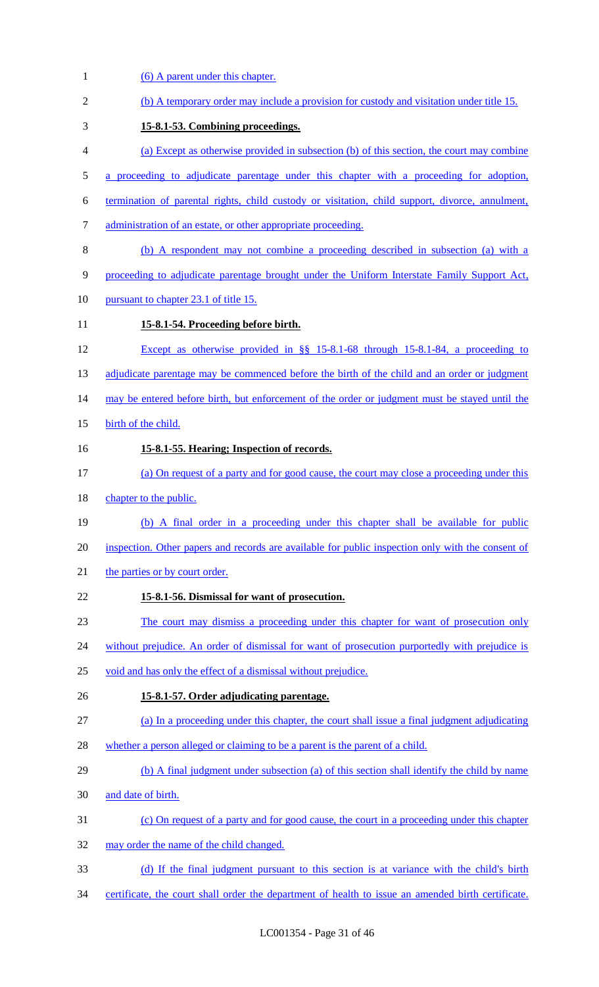- (6) A parent under this chapter. (b) A temporary order may include a provision for custody and visitation under title 15. **15-8.1-53. Combining proceedings.** (a) Except as otherwise provided in subsection (b) of this section, the court may combine a proceeding to adjudicate parentage under this chapter with a proceeding for adoption, termination of parental rights, child custody or visitation, child support, divorce, annulment, administration of an estate, or other appropriate proceeding. (b) A respondent may not combine a proceeding described in subsection (a) with a proceeding to adjudicate parentage brought under the Uniform Interstate Family Support Act, 10 pursuant to chapter 23.1 of title 15. **15-8.1-54. Proceeding before birth.** Except as otherwise provided in §§ 15-8.1-68 through 15-8.1-84, a proceeding to 13 adjudicate parentage may be commenced before the birth of the child and an order or judgment 14 may be entered before birth, but enforcement of the order or judgment must be stayed until the 15 birth of the child. **15-8.1-55. Hearing; Inspection of records.** (a) On request of a party and for good cause, the court may close a proceeding under this 18 chapter to the public. (b) A final order in a proceeding under this chapter shall be available for public inspection. Other papers and records are available for public inspection only with the consent of 21 the parties or by court order. **15-8.1-56. Dismissal for want of prosecution.** The court may dismiss a proceeding under this chapter for want of prosecution only 24 without prejudice. An order of dismissal for want of prosecution purportedly with prejudice is void and has only the effect of a dismissal without prejudice. **15-8.1-57. Order adjudicating parentage.** (a) In a proceeding under this chapter, the court shall issue a final judgment adjudicating whether a person alleged or claiming to be a parent is the parent of a child. (b) A final judgment under subsection (a) of this section shall identify the child by name and date of birth. (c) On request of a party and for good cause, the court in a proceeding under this chapter may order the name of the child changed. (d) If the final judgment pursuant to this section is at variance with the child's birth
- certificate, the court shall order the department of health to issue an amended birth certificate.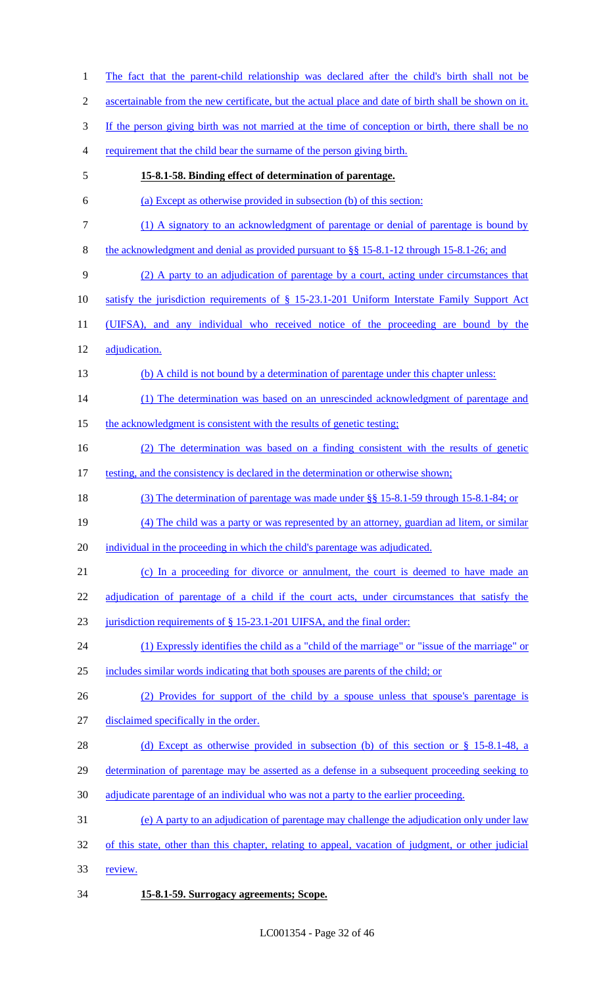| $\mathbf{1}$   | The fact that the parent-child relationship was declared after the child's birth shall not be        |
|----------------|------------------------------------------------------------------------------------------------------|
| $\overline{2}$ | ascertainable from the new certificate, but the actual place and date of birth shall be shown on it. |
| $\mathfrak{Z}$ | If the person giving birth was not married at the time of conception or birth, there shall be no     |
| $\overline{4}$ | requirement that the child bear the surname of the person giving birth.                              |
| $\mathfrak{S}$ | 15-8.1-58. Binding effect of determination of parentage.                                             |
| 6              | (a) Except as otherwise provided in subsection (b) of this section:                                  |
| $\tau$         | (1) A signatory to an acknowledgment of parentage or denial of parentage is bound by                 |
| $8\,$          | the acknowledgment and denial as provided pursuant to $\S$ $\S$ 15-8.1-12 through 15-8.1-26; and     |
| 9              | (2) A party to an adjudication of parentage by a court, acting under circumstances that              |
| 10             | satisfy the jurisdiction requirements of § 15-23.1-201 Uniform Interstate Family Support Act         |
| 11             | (UIFSA), and any individual who received notice of the proceeding are bound by the                   |
| 12             | adjudication.                                                                                        |
| 13             | (b) A child is not bound by a determination of parentage under this chapter unless:                  |
| 14             | (1) The determination was based on an unrescinded acknowledgment of parentage and                    |
| 15             | the acknowledgment is consistent with the results of genetic testing;                                |
| 16             | (2) The determination was based on a finding consistent with the results of genetic                  |
| 17             | testing, and the consistency is declared in the determination or otherwise shown;                    |
| 18             | (3) The determination of parentage was made under §§ 15-8.1-59 through 15-8.1-84; or                 |
| 19             | (4) The child was a party or was represented by an attorney, guardian ad litem, or similar           |
| 20             | individual in the proceeding in which the child's parentage was adjudicated.                         |
| 21             | (c) In a proceeding for divorce or annulment, the court is deemed to have made an                    |
| 22             | adjudication of parentage of a child if the court acts, under circumstances that satisfy the         |
| 23             | jurisdiction requirements of § 15-23.1-201 UIFSA, and the final order:                               |
| 24             | (1) Expressly identifies the child as a "child of the marriage" or "issue of the marriage" or        |
| 25             | includes similar words indicating that both spouses are parents of the child; or                     |
| 26             | (2) Provides for support of the child by a spouse unless that spouse's parentage is                  |
| 27             | disclaimed specifically in the order.                                                                |
| 28             | (d) Except as otherwise provided in subsection (b) of this section or $\S$ 15-8.1-48, a              |
| 29             | determination of parentage may be asserted as a defense in a subsequent proceeding seeking to        |
| 30             | adjudicate parentage of an individual who was not a party to the earlier proceeding.                 |
| 31             | (e) A party to an adjudication of parentage may challenge the adjudication only under law            |
| 32             | of this state, other than this chapter, relating to appeal, vacation of judgment, or other judicial  |
| 33             | review.                                                                                              |
| 34             | 15-8.1-59. Surrogacy agreements; Scope.                                                              |

LC001354 - Page 32 of 46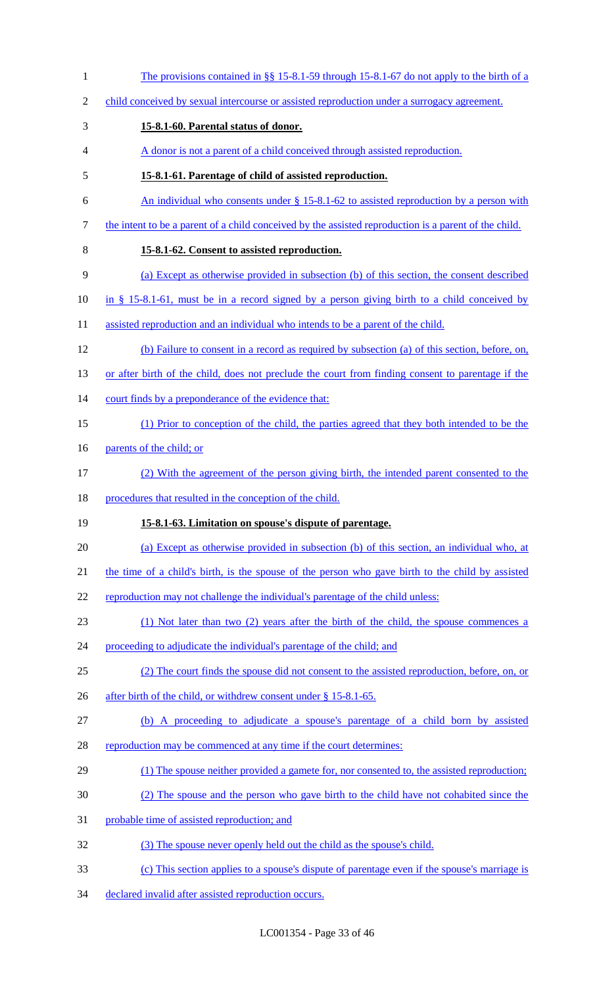The provisions contained in §§ 15-8.1-59 through 15-8.1-67 do not apply to the birth of a 2 child conceived by sexual intercourse or assisted reproduction under a surrogacy agreement. **15-8.1-60. Parental status of donor.** A donor is not a parent of a child conceived through assisted reproduction. **15-8.1-61. Parentage of child of assisted reproduction.** An individual who consents under § 15-8.1-62 to assisted reproduction by a person with 7 the intent to be a parent of a child conceived by the assisted reproduction is a parent of the child. **15-8.1-62. Consent to assisted reproduction.** (a) Except as otherwise provided in subsection (b) of this section, the consent described 10 in § 15-8.1-61, must be in a record signed by a person giving birth to a child conceived by 11 assisted reproduction and an individual who intends to be a parent of the child. (b) Failure to consent in a record as required by subsection (a) of this section, before, on, 13 or after birth of the child, does not preclude the court from finding consent to parentage if the 14 court finds by a preponderance of the evidence that: (1) Prior to conception of the child, the parties agreed that they both intended to be the 16 parents of the child; or (2) With the agreement of the person giving birth, the intended parent consented to the 18 procedures that resulted in the conception of the child. **15-8.1-63. Limitation on spouse's dispute of parentage.** (a) Except as otherwise provided in subsection (b) of this section, an individual who, at the time of a child's birth, is the spouse of the person who gave birth to the child by assisted 22 reproduction may not challenge the individual's parentage of the child unless: (1) Not later than two (2) years after the birth of the child, the spouse commences a 24 proceeding to adjudicate the individual's parentage of the child; and (2) The court finds the spouse did not consent to the assisted reproduction, before, on, or 26 after birth of the child, or withdrew consent under § 15-8.1-65. (b) A proceeding to adjudicate a spouse's parentage of a child born by assisted 28 reproduction may be commenced at any time if the court determines: (1) The spouse neither provided a gamete for, nor consented to, the assisted reproduction; (2) The spouse and the person who gave birth to the child have not cohabited since the probable time of assisted reproduction; and (3) The spouse never openly held out the child as the spouse's child. (c) This section applies to a spouse's dispute of parentage even if the spouse's marriage is declared invalid after assisted reproduction occurs.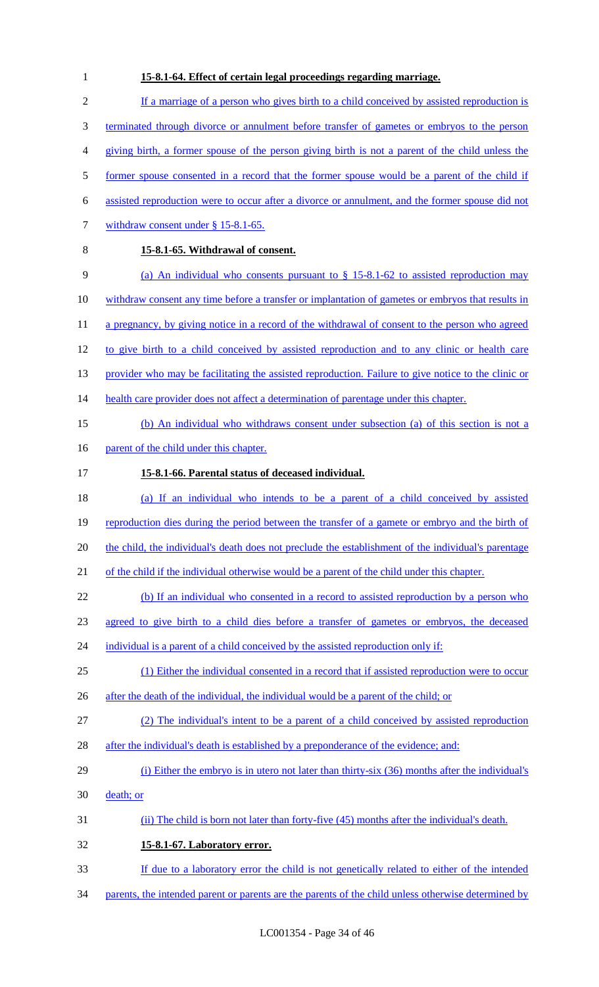1 **15-8.1-64. Effect of certain legal proceedings regarding marriage.** 2 If a marriage of a person who gives birth to a child conceived by assisted reproduction is 3 terminated through divorce or annulment before transfer of gametes or embryos to the person 4 giving birth, a former spouse of the person giving birth is not a parent of the child unless the 5 former spouse consented in a record that the former spouse would be a parent of the child if 6 assisted reproduction were to occur after a divorce or annulment, and the former spouse did not 7 withdraw consent under § 15-8.1-65. 8 **15-8.1-65. Withdrawal of consent.** 9 (a) An individual who consents pursuant to § 15-8.1-62 to assisted reproduction may 10 withdraw consent any time before a transfer or implantation of gametes or embryos that results in 11 a pregnancy, by giving notice in a record of the withdrawal of consent to the person who agreed 12 to give birth to a child conceived by assisted reproduction and to any clinic or health care 13 provider who may be facilitating the assisted reproduction. Failure to give notice to the clinic or 14 health care provider does not affect a determination of parentage under this chapter. 15 (b) An individual who withdraws consent under subsection (a) of this section is not a 16 parent of the child under this chapter. 17 **15-8.1-66. Parental status of deceased individual.** 18 (a) If an individual who intends to be a parent of a child conceived by assisted 19 reproduction dies during the period between the transfer of a gamete or embryo and the birth of 20 the child, the individual's death does not preclude the establishment of the individual's parentage 21 of the child if the individual otherwise would be a parent of the child under this chapter. 22 (b) If an individual who consented in a record to assisted reproduction by a person who 23 agreed to give birth to a child dies before a transfer of gametes or embryos, the deceased 24 individual is a parent of a child conceived by the assisted reproduction only if: 25 (1) Either the individual consented in a record that if assisted reproduction were to occur 26 after the death of the individual, the individual would be a parent of the child; or 27 (2) The individual's intent to be a parent of a child conceived by assisted reproduction 28 after the individual's death is established by a preponderance of the evidence; and: 29 (i) Either the embryo is in utero not later than thirty-six (36) months after the individual's 30 death; or 31 (ii) The child is born not later than forty-five (45) months after the individual's death. 32 **15-8.1-67. Laboratory error.** 33 If due to a laboratory error the child is not genetically related to either of the intended 34 parents, the intended parent or parents are the parents of the child unless otherwise determined by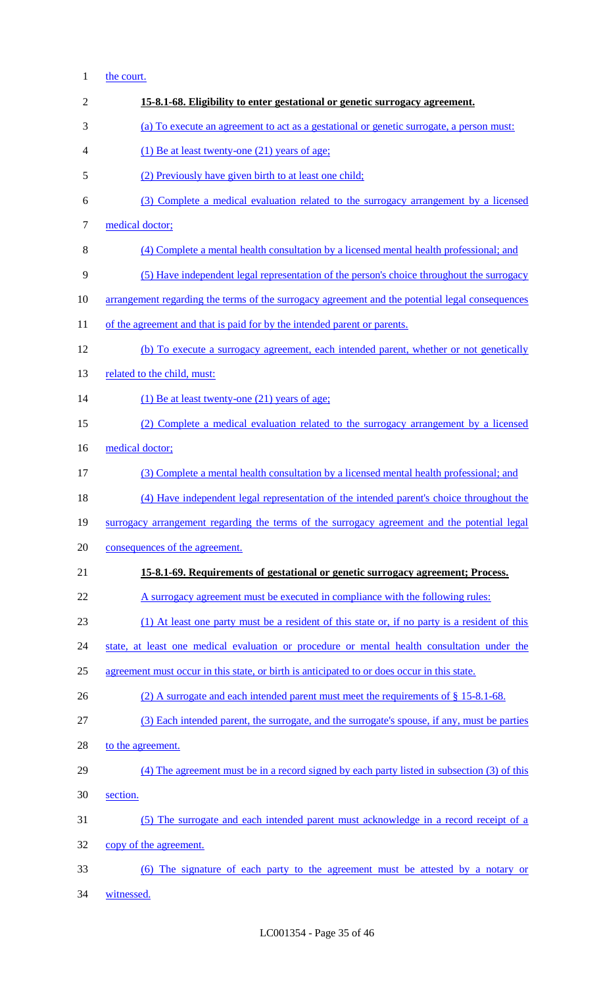| $\mathbf{1}$   | the court.                                                                                      |
|----------------|-------------------------------------------------------------------------------------------------|
| $\overline{2}$ | 15-8.1-68. Eligibility to enter gestational or genetic surrogacy agreement.                     |
| 3              | (a) To execute an agreement to act as a gestational or genetic surrogate, a person must:        |
| 4              | (1) Be at least twenty-one $(21)$ years of age;                                                 |
| 5              | (2) Previously have given birth to at least one child;                                          |
| 6              | (3) Complete a medical evaluation related to the surrogacy arrangement by a licensed            |
| $\tau$         | medical doctor;                                                                                 |
| 8              | (4) Complete a mental health consultation by a licensed mental health professional; and         |
| 9              | (5) Have independent legal representation of the person's choice throughout the surrogacy       |
| 10             | arrangement regarding the terms of the surrogacy agreement and the potential legal consequences |
| 11             | of the agreement and that is paid for by the intended parent or parents.                        |
| 12             | (b) To execute a surrogacy agreement, each intended parent, whether or not genetically          |
| 13             | related to the child, must:                                                                     |
| 14             | (1) Be at least twenty-one $(21)$ years of age;                                                 |
| 15             | (2) Complete a medical evaluation related to the surrogacy arrangement by a licensed            |
| 16             | medical doctor;                                                                                 |
| 17             | (3) Complete a mental health consultation by a licensed mental health professional; and         |
| 18             | (4) Have independent legal representation of the intended parent's choice throughout the        |
| 19             | surrogacy arrangement regarding the terms of the surrogacy agreement and the potential legal    |
| 20             | consequences of the agreement.                                                                  |
| 21             | 15-8.1-69. Requirements of gestational or genetic surrogacy agreement; Process.                 |
| 22             | A surrogacy agreement must be executed in compliance with the following rules:                  |
| 23             | (1) At least one party must be a resident of this state or, if no party is a resident of this   |
| 24             | state, at least one medical evaluation or procedure or mental health consultation under the     |
| 25             | agreement must occur in this state, or birth is anticipated to or does occur in this state.     |
| 26             | (2) A surrogate and each intended parent must meet the requirements of $\S$ 15-8.1-68.          |
| 27             | (3) Each intended parent, the surrogate, and the surrogate's spouse, if any, must be parties    |
| 28             | to the agreement.                                                                               |
| 29             | (4) The agreement must be in a record signed by each party listed in subsection (3) of this     |
| 30             | section.                                                                                        |
| 31             | (5) The surrogate and each intended parent must acknowledge in a record receipt of a            |
| 32             | copy of the agreement.                                                                          |
| 33             | (6) The signature of each party to the agreement must be attested by a notary or                |
| 34             | witnessed.                                                                                      |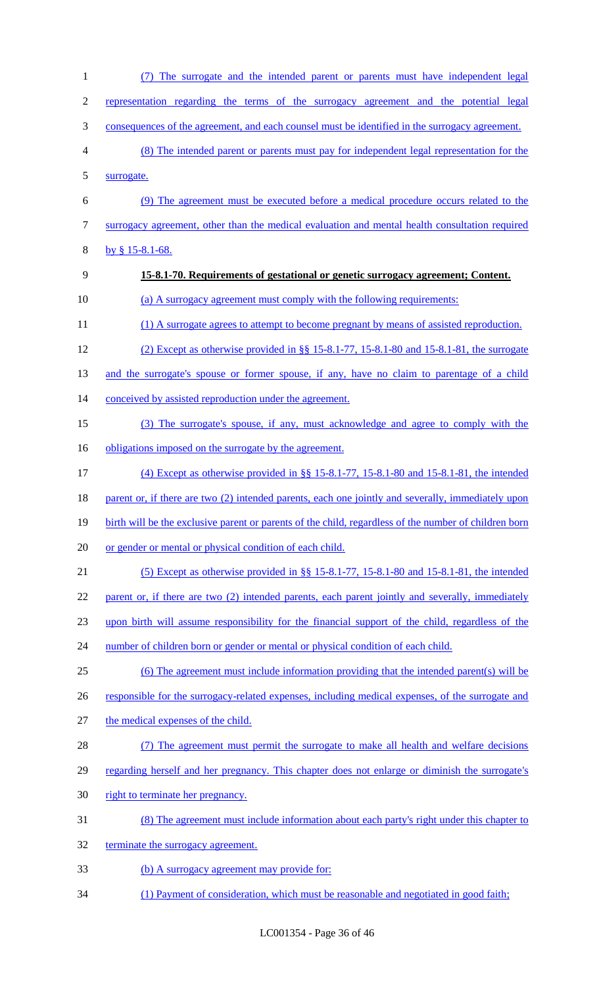| $\mathbf{1}$   | (7) The surrogate and the intended parent or parents must have independent legal                      |
|----------------|-------------------------------------------------------------------------------------------------------|
| $\overline{2}$ | representation regarding the terms of the surrogacy agreement and the potential legal                 |
| 3              | consequences of the agreement, and each counsel must be identified in the surrogacy agreement.        |
| $\overline{4}$ | (8) The intended parent or parents must pay for independent legal representation for the              |
| 5              | surrogate.                                                                                            |
| 6              | (9) The agreement must be executed before a medical procedure occurs related to the                   |
| $\overline{7}$ | surrogacy agreement, other than the medical evaluation and mental health consultation required        |
| $8\,$          | by $$15-8.1-68.$                                                                                      |
| 9              | 15-8.1-70. Requirements of gestational or genetic surrogacy agreement; Content.                       |
| 10             | (a) A surrogacy agreement must comply with the following requirements:                                |
| 11             | (1) A surrogate agrees to attempt to become pregnant by means of assisted reproduction.               |
| 12             | (2) Except as otherwise provided in §§ 15-8.1-77, 15-8.1-80 and 15-8.1-81, the surrogate              |
| 13             | and the surrogate's spouse or former spouse, if any, have no claim to parentage of a child            |
| 14             | conceived by assisted reproduction under the agreement.                                               |
| 15             | (3) The surrogate's spouse, if any, must acknowledge and agree to comply with the                     |
| 16             | obligations imposed on the surrogate by the agreement.                                                |
| 17             | (4) Except as otherwise provided in $\S$ 15-8.1-77, 15-8.1-80 and 15-8.1-81, the intended             |
| 18             | parent or, if there are two (2) intended parents, each one jointly and severally, immediately upon    |
| 19             | birth will be the exclusive parent or parents of the child, regardless of the number of children born |
| 20             | or gender or mental or physical condition of each child.                                              |
| 21             | $(5)$ Except as otherwise provided in §§ 15-8.1-77, 15-8.1-80 and 15-8.1-81, the intended             |
| 22             | parent or, if there are two (2) intended parents, each parent jointly and severally, immediately      |
| 23             | upon birth will assume responsibility for the financial support of the child, regardless of the       |
| 24             | number of children born or gender or mental or physical condition of each child.                      |
| 25             | (6) The agreement must include information providing that the intended parent(s) will be              |
| 26             | responsible for the surrogacy-related expenses, including medical expenses, of the surrogate and      |
| 27             | the medical expenses of the child.                                                                    |
| 28             | (7) The agreement must permit the surrogate to make all health and welfare decisions                  |
| 29             | regarding herself and her pregnancy. This chapter does not enlarge or diminish the surrogate's        |
| 30             | right to terminate her pregnancy.                                                                     |
| 31             | (8) The agreement must include information about each party's right under this chapter to             |
| 32             | terminate the surrogacy agreement.                                                                    |
| 33             | (b) A surrogacy agreement may provide for:                                                            |
| 34             | (1) Payment of consideration, which must be reasonable and negotiated in good faith;                  |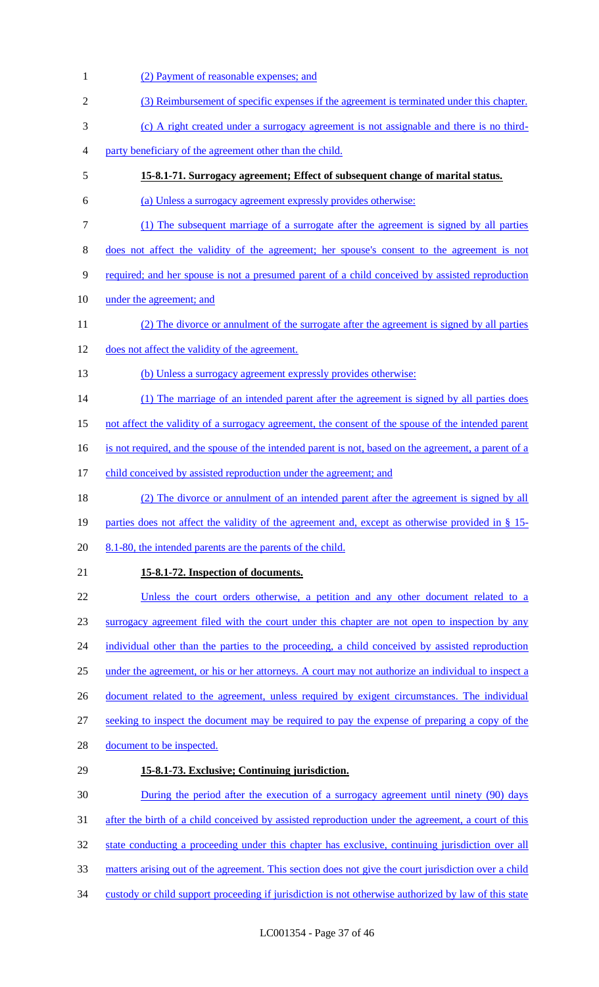(2) Payment of reasonable expenses; and (3) Reimbursement of specific expenses if the agreement is terminated under this chapter. (c) A right created under a surrogacy agreement is not assignable and there is no third- party beneficiary of the agreement other than the child. **15-8.1-71. Surrogacy agreement; Effect of subsequent change of marital status.** (a) Unless a surrogacy agreement expressly provides otherwise: (1) The subsequent marriage of a surrogate after the agreement is signed by all parties does not affect the validity of the agreement; her spouse's consent to the agreement is not required; and her spouse is not a presumed parent of a child conceived by assisted reproduction under the agreement; and (2) The divorce or annulment of the surrogate after the agreement is signed by all parties does not affect the validity of the agreement. (b) Unless a surrogacy agreement expressly provides otherwise: 14 (1) The marriage of an intended parent after the agreement is signed by all parties does not affect the validity of a surrogacy agreement, the consent of the spouse of the intended parent is not required, and the spouse of the intended parent is not, based on the agreement, a parent of a 17 child conceived by assisted reproduction under the agreement; and (2) The divorce or annulment of an intended parent after the agreement is signed by all 19 parties does not affect the validity of the agreement and, except as otherwise provided in § 15-20 8.1-80, the intended parents are the parents of the child. **15-8.1-72. Inspection of documents.** Unless the court orders otherwise, a petition and any other document related to a surrogacy agreement filed with the court under this chapter are not open to inspection by any 24 individual other than the parties to the proceeding, a child conceived by assisted reproduction under the agreement, or his or her attorneys. A court may not authorize an individual to inspect a 26 document related to the agreement, unless required by exigent circumstances. The individual seeking to inspect the document may be required to pay the expense of preparing a copy of the document to be inspected. **15-8.1-73. Exclusive; Continuing jurisdiction.** During the period after the execution of a surrogacy agreement until ninety (90) days after the birth of a child conceived by assisted reproduction under the agreement, a court of this 32 state conducting a proceeding under this chapter has exclusive, continuing jurisdiction over all matters arising out of the agreement. This section does not give the court jurisdiction over a child custody or child support proceeding if jurisdiction is not otherwise authorized by law of this state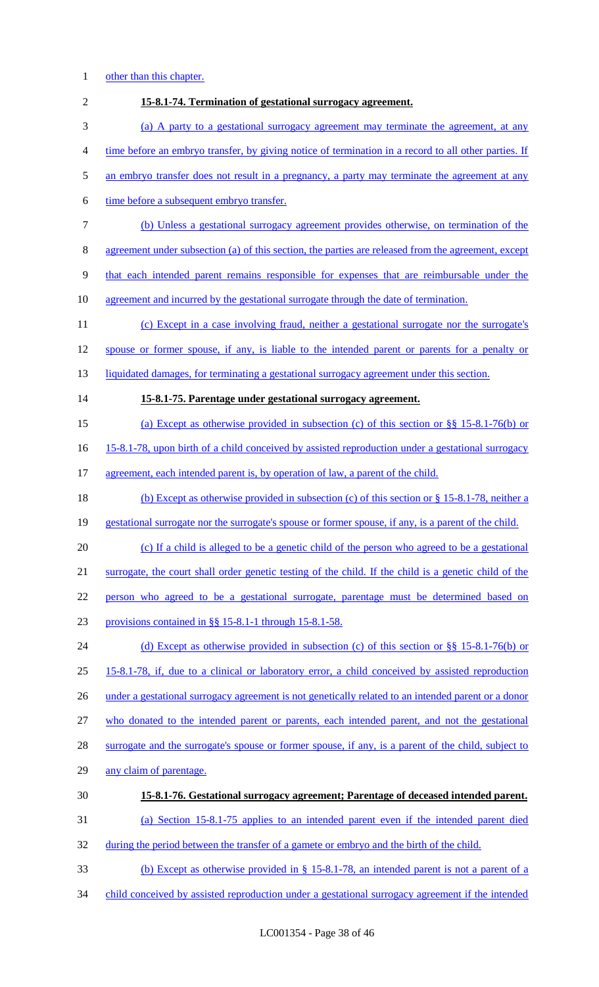# 1 other than this chapter.

| $\mathfrak{2}$ | 15-8.1-74. Termination of gestational surrogacy agreement.                                            |
|----------------|-------------------------------------------------------------------------------------------------------|
| 3              | (a) A party to a gestational surrogacy agreement may terminate the agreement, at any                  |
| 4              | time before an embryo transfer, by giving notice of termination in a record to all other parties. If  |
| 5              | an embryo transfer does not result in a pregnancy, a party may terminate the agreement at any         |
| 6              | time before a subsequent embryo transfer.                                                             |
| $\tau$         | (b) Unless a gestational surrogacy agreement provides otherwise, on termination of the                |
| $8\,$          | agreement under subsection (a) of this section, the parties are released from the agreement, except   |
| 9              | that each intended parent remains responsible for expenses that are reimbursable under the            |
| 10             | agreement and incurred by the gestational surrogate through the date of termination.                  |
| 11             | (c) Except in a case involving fraud, neither a gestational surrogate nor the surrogate's             |
| 12             | spouse or former spouse, if any, is liable to the intended parent or parents for a penalty or         |
| 13             | liquidated damages, for terminating a gestational surrogacy agreement under this section.             |
| 14             | 15-8.1-75. Parentage under gestational surrogacy agreement.                                           |
| 15             | (a) Except as otherwise provided in subsection (c) of this section or $\S$ 15-8.1-76(b) or            |
| 16             | 15-8.1-78, upon birth of a child conceived by assisted reproduction under a gestational surrogacy     |
| 17             | agreement, each intended parent is, by operation of law, a parent of the child.                       |
| 18             | (b) Except as otherwise provided in subsection (c) of this section or $\S 15-8.1-78$ , neither a      |
| 19             | gestational surrogate nor the surrogate's spouse or former spouse, if any, is a parent of the child.  |
| 20             | (c) If a child is alleged to be a genetic child of the person who agreed to be a gestational          |
| 21             | surrogate, the court shall order genetic testing of the child. If the child is a genetic child of the |
| 22             | person who agreed to be a gestational surrogate, parentage must be determined based on                |
| 23             | provisions contained in §§ 15-8.1-1 through 15-8.1-58.                                                |
| 24             | (d) Except as otherwise provided in subsection (c) of this section or $\S$ $\S$ 15-8.1-76(b) or       |
| 25             | 15-8.1-78, if, due to a clinical or laboratory error, a child conceived by assisted reproduction      |
| 26             | under a gestational surrogacy agreement is not genetically related to an intended parent or a donor   |
| 27             | who donated to the intended parent or parents, each intended parent, and not the gestational          |
| 28             | surrogate and the surrogate's spouse or former spouse, if any, is a parent of the child, subject to   |
| 29             | any claim of parentage.                                                                               |
| 30             | 15-8.1-76. Gestational surrogacy agreement; Parentage of deceased intended parent.                    |
| 31             | (a) Section 15-8.1-75 applies to an intended parent even if the intended parent died                  |
| 32             | during the period between the transfer of a gamete or embryo and the birth of the child.              |
| 33             | (b) Except as otherwise provided in $\S$ 15-8.1-78, an intended parent is not a parent of a           |
| 34             | child conceived by assisted reproduction under a gestational surrogacy agreement if the intended      |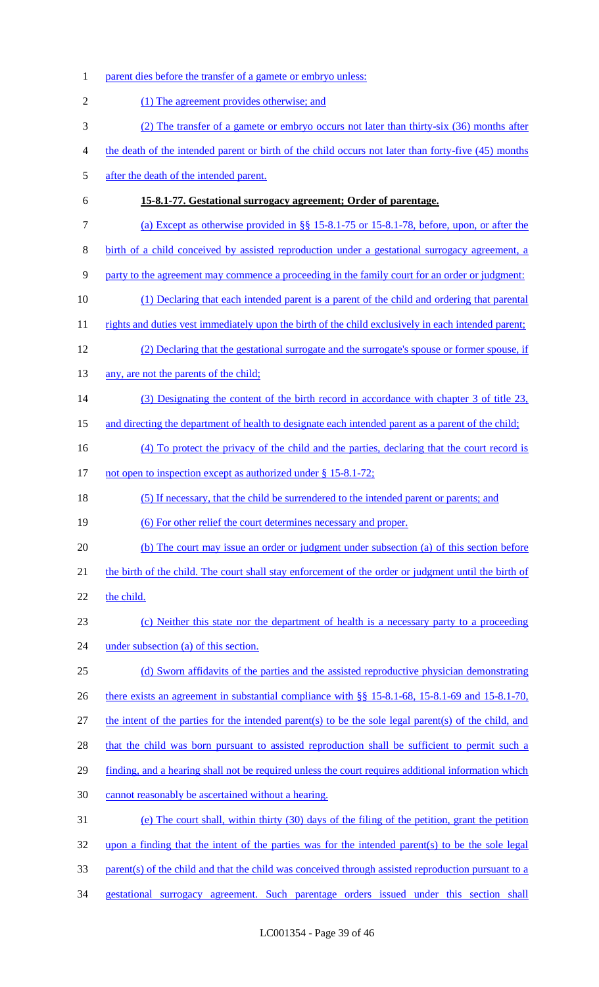1 parent dies before the transfer of a gamete or embryo unless: 2 (1) The agreement provides otherwise; and (2) The transfer of a gamete or embryo occurs not later than thirty-six (36) months after the death of the intended parent or birth of the child occurs not later than forty-five (45) months after the death of the intended parent. **15-8.1-77. Gestational surrogacy agreement; Order of parentage.** (a) Except as otherwise provided in §§ 15-8.1-75 or 15-8.1-78, before, upon, or after the birth of a child conceived by assisted reproduction under a gestational surrogacy agreement, a party to the agreement may commence a proceeding in the family court for an order or judgment: (1) Declaring that each intended parent is a parent of the child and ordering that parental 11 rights and duties vest immediately upon the birth of the child exclusively in each intended parent; (2) Declaring that the gestational surrogate and the surrogate's spouse or former spouse, if 13 any, are not the parents of the child; (3) Designating the content of the birth record in accordance with chapter 3 of title 23, 15 and directing the department of health to designate each intended parent as a parent of the child; 16 (4) To protect the privacy of the child and the parties, declaring that the court record is 17 not open to inspection except as authorized under § 15-8.1-72; (5) If necessary, that the child be surrendered to the intended parent or parents; and (6) For other relief the court determines necessary and proper. (b) The court may issue an order or judgment under subsection (a) of this section before 21 the birth of the child. The court shall stay enforcement of the order or judgment until the birth of 22 the child. (c) Neither this state nor the department of health is a necessary party to a proceeding 24 under subsection (a) of this section. (d) Sworn affidavits of the parties and the assisted reproductive physician demonstrating 26 there exists an agreement in substantial compliance with §§ 15-8.1-68, 15-8.1-69 and 15-8.1-70, the intent of the parties for the intended parent(s) to be the sole legal parent(s) of the child, and 28 that the child was born pursuant to assisted reproduction shall be sufficient to permit such a finding, and a hearing shall not be required unless the court requires additional information which cannot reasonably be ascertained without a hearing. (e) The court shall, within thirty (30) days of the filing of the petition, grant the petition upon a finding that the intent of the parties was for the intended parent(s) to be the sole legal parent(s) of the child and that the child was conceived through assisted reproduction pursuant to a gestational surrogacy agreement. Such parentage orders issued under this section shall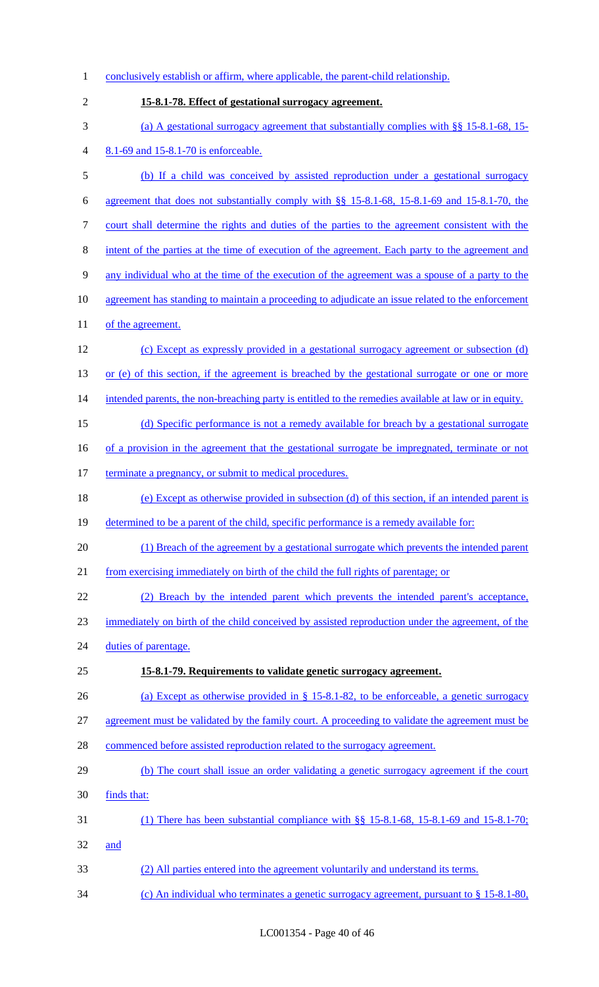| $\mathbf{1}$   | conclusively establish or affirm, where applicable, the parent-child relationship.                   |
|----------------|------------------------------------------------------------------------------------------------------|
| $\overline{2}$ | 15-8.1-78. Effect of gestational surrogacy agreement.                                                |
| 3              | (a) A gestational surrogacy agreement that substantially complies with $\S$ 15-8.1-68, 15-           |
| 4              | 8.1-69 and 15-8.1-70 is enforceable.                                                                 |
| 5              | (b) If a child was conceived by assisted reproduction under a gestational surrogacy                  |
| 6              | agreement that does not substantially comply with §§ 15-8.1-68, 15-8.1-69 and 15-8.1-70, the         |
| 7              | court shall determine the rights and duties of the parties to the agreement consistent with the      |
| 8              | intent of the parties at the time of execution of the agreement. Each party to the agreement and     |
| 9              | any individual who at the time of the execution of the agreement was a spouse of a party to the      |
| 10             | agreement has standing to maintain a proceeding to adjudicate an issue related to the enforcement    |
| 11             | of the agreement.                                                                                    |
| 12             | (c) Except as expressly provided in a gestational surrogacy agreement or subsection (d)              |
| 13             | or (e) of this section, if the agreement is breached by the gestational surrogate or one or more     |
| 14             | intended parents, the non-breaching party is entitled to the remedies available at law or in equity. |
| 15             | (d) Specific performance is not a remedy available for breach by a gestational surrogate             |
| 16             | of a provision in the agreement that the gestational surrogate be impregnated, terminate or not      |
| 17             | terminate a pregnancy, or submit to medical procedures.                                              |
| 18             | (e) Except as otherwise provided in subsection (d) of this section, if an intended parent is         |
| 19             | determined to be a parent of the child, specific performance is a remedy available for:              |
| 20             | (1) Breach of the agreement by a gestational surrogate which prevents the intended parent            |
| 21             | from exercising immediately on birth of the child the full rights of parentage; or                   |
| 22             | (2) Breach by the intended parent which prevents the intended parent's acceptance,                   |
| 23             | immediately on birth of the child conceived by assisted reproduction under the agreement, of the     |
| 24             | duties of parentage.                                                                                 |
| 25             | 15-8.1-79. Requirements to validate genetic surrogacy agreement.                                     |
| 26             | (a) Except as otherwise provided in $\S$ 15-8.1-82, to be enforceable, a genetic surrogacy           |
| 27             | agreement must be validated by the family court. A proceeding to validate the agreement must be      |
| 28             | commenced before assisted reproduction related to the surrogacy agreement.                           |
| 29             | (b) The court shall issue an order validating a genetic surrogacy agreement if the court             |
| 30             | finds that:                                                                                          |
| 31             | (1) There has been substantial compliance with $\S$ $\S$ 15-8.1-68, 15-8.1-69 and 15-8.1-70;         |
| 32             | and                                                                                                  |
| 33             | (2) All parties entered into the agreement voluntarily and understand its terms.                     |
| 34             | (c) An individual who terminates a genetic surrogacy agreement, pursuant to $\S$ 15-8.1-80,          |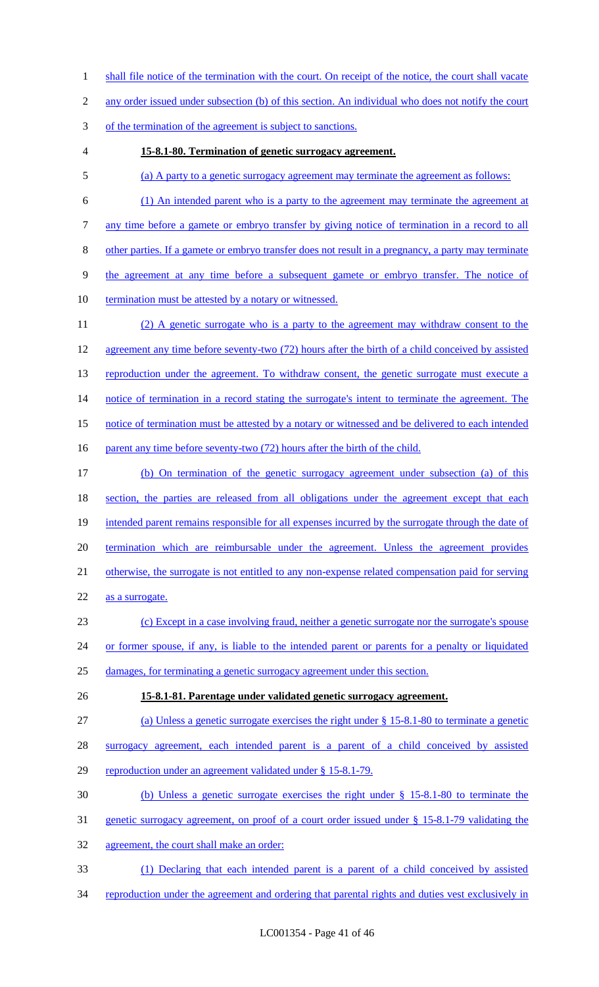- 1 shall file notice of the termination with the court. On receipt of the notice, the court shall vacate
- 2 any order issued under subsection (b) of this section. An individual who does not notify the court
- of the termination of the agreement is subject to sanctions.
- 

# **15-8.1-80. Termination of genetic surrogacy agreement.**

- (a) A party to a genetic surrogacy agreement may terminate the agreement as follows:
- (1) An intended parent who is a party to the agreement may terminate the agreement at any time before a gamete or embryo transfer by giving notice of termination in a record to all other parties. If a gamete or embryo transfer does not result in a pregnancy, a party may terminate
- the agreement at any time before a subsequent gamete or embryo transfer. The notice of
- 10 termination must be attested by a notary or witnessed.
- (2) A genetic surrogate who is a party to the agreement may withdraw consent to the agreement any time before seventy-two (72) hours after the birth of a child conceived by assisted 13 reproduction under the agreement. To withdraw consent, the genetic surrogate must execute a 14 notice of termination in a record stating the surrogate's intent to terminate the agreement. The notice of termination must be attested by a notary or witnessed and be delivered to each intended 16 parent any time before seventy-two (72) hours after the birth of the child.
- (b) On termination of the genetic surrogacy agreement under subsection (a) of this 18 section, the parties are released from all obligations under the agreement except that each intended parent remains responsible for all expenses incurred by the surrogate through the date of 20 termination which are reimbursable under the agreement. Unless the agreement provides otherwise, the surrogate is not entitled to any non-expense related compensation paid for serving as a surrogate. (c) Except in a case involving fraud, neither a genetic surrogate nor the surrogate's spouse
- 24 or former spouse, if any, is liable to the intended parent or parents for a penalty or liquidated
- damages, for terminating a genetic surrogacy agreement under this section.
- 

# **15-8.1-81. Parentage under validated genetic surrogacy agreement.**

(a) Unless a genetic surrogate exercises the right under § 15-8.1-80 to terminate a genetic

surrogacy agreement, each intended parent is a parent of a child conceived by assisted

- 29 reproduction under an agreement validated under § 15-8.1-79.
- (b) Unless a genetic surrogate exercises the right under § 15-8.1-80 to terminate the
- genetic surrogacy agreement, on proof of a court order issued under § 15-8.1-79 validating the
- agreement, the court shall make an order:
- (1) Declaring that each intended parent is a parent of a child conceived by assisted
- 34 reproduction under the agreement and ordering that parental rights and duties vest exclusively in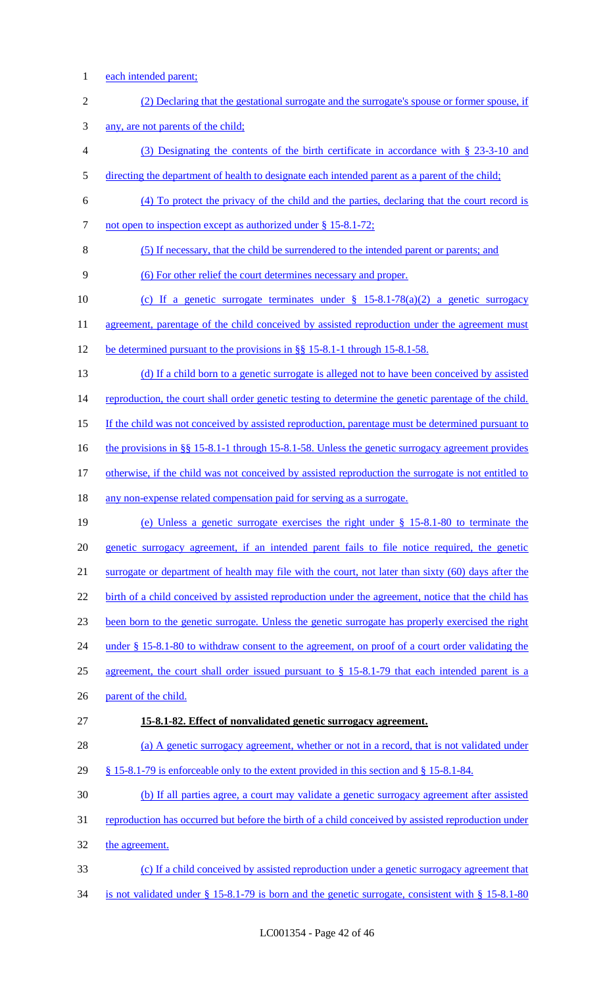- 1 each intended parent;
- 2 (2) Declaring that the gestational surrogate and the surrogate's spouse or former spouse, if 3 any, are not parents of the child;
- 4 (3) Designating the contents of the birth certificate in accordance with § 23-3-10 and
- 5 directing the department of health to designate each intended parent as a parent of the child;
- 6 (4) To protect the privacy of the child and the parties, declaring that the court record is
- 7 not open to inspection except as authorized under § 15-8.1-72;
- 8 (5) If necessary, that the child be surrendered to the intended parent or parents; and
- 9 (6) For other relief the court determines necessary and proper.
- 10 (c) If a genetic surrogate terminates under § 15-8.1-78(a)(2) a genetic surrogacy

11 agreement, parentage of the child conceived by assisted reproduction under the agreement must

- 12 be determined pursuant to the provisions in §§ 15-8.1-1 through 15-8.1-58.
- 13 (d) If a child born to a genetic surrogate is alleged not to have been conceived by assisted

14 reproduction, the court shall order genetic testing to determine the genetic parentage of the child.

15 If the child was not conceived by assisted reproduction, parentage must be determined pursuant to

16 the provisions in §§ 15-8.1-1 through 15-8.1-58. Unless the genetic surrogacy agreement provides

17 otherwise, if the child was not conceived by assisted reproduction the surrogate is not entitled to

18 any non-expense related compensation paid for serving as a surrogate.

 (e) Unless a genetic surrogate exercises the right under § 15-8.1-80 to terminate the genetic surrogacy agreement, if an intended parent fails to file notice required, the genetic surrogate or department of health may file with the court, not later than sixty (60) days after the 22 birth of a child conceived by assisted reproduction under the agreement, notice that the child has been born to the genetic surrogate. Unless the genetic surrogate has properly exercised the right 24 under § 15-8.1-80 to withdraw consent to the agreement, on proof of a court order validating the agreement, the court shall order issued pursuant to § 15-8.1-79 that each intended parent is a

26 parent of the child.

## 27 **15-8.1-82. Effect of nonvalidated genetic surrogacy agreement.**

28 (a) A genetic surrogacy agreement, whether or not in a record, that is not validated under

29 § 15-8.1-79 is enforceable only to the extent provided in this section and § 15-8.1-84.

30 (b) If all parties agree, a court may validate a genetic surrogacy agreement after assisted

31 reproduction has occurred but before the birth of a child conceived by assisted reproduction under

- 32 the agreement.
- 33 (c) If a child conceived by assisted reproduction under a genetic surrogacy agreement that
- 34 is not validated under § 15-8.1-79 is born and the genetic surrogate, consistent with § 15-8.1-80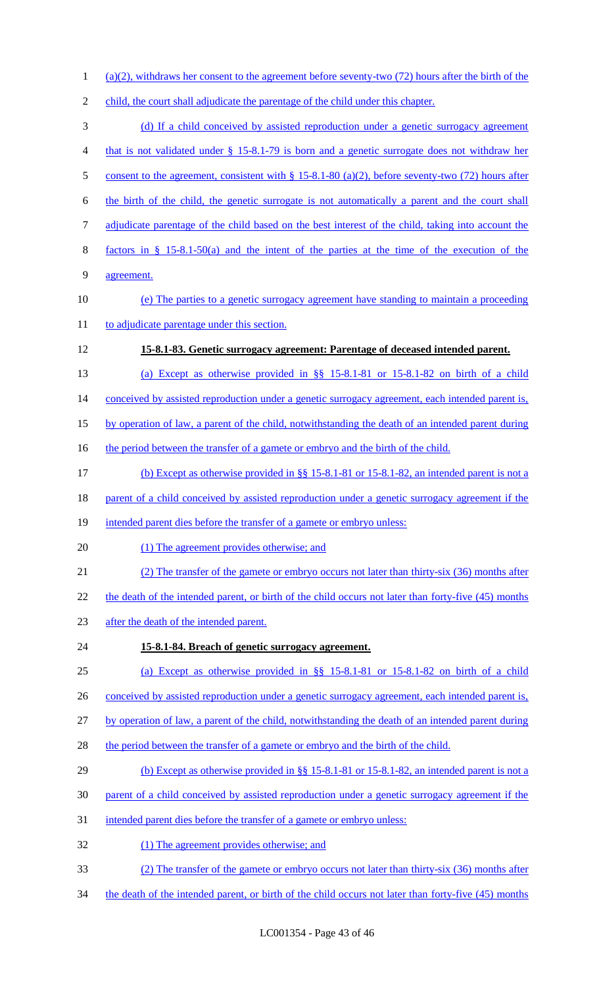(a)(2), withdraws her consent to the agreement before seventy-two (72) hours after the birth of the 2 child, the court shall adjudicate the parentage of the child under this chapter. 3 (d) If a child conceived by assisted reproduction under a genetic surrogacy agreement that is not validated under § 15-8.1-79 is born and a genetic surrogate does not withdraw her 5 consent to the agreement, consistent with § 15-8.1-80 (a)(2), before seventy-two (72) hours after the birth of the child, the genetic surrogate is not automatically a parent and the court shall adjudicate parentage of the child based on the best interest of the child, taking into account the factors in § 15-8.1-50(a) and the intent of the parties at the time of the execution of the agreement. (e) The parties to a genetic surrogacy agreement have standing to maintain a proceeding 11 to adjudicate parentage under this section. **15-8.1-83. Genetic surrogacy agreement: Parentage of deceased intended parent.** (a) Except as otherwise provided in §§ 15-8.1-81 or 15-8.1-82 on birth of a child 14 conceived by assisted reproduction under a genetic surrogacy agreement, each intended parent is, by operation of law, a parent of the child, notwithstanding the death of an intended parent during 16 the period between the transfer of a gamete or embryo and the birth of the child. (b) Except as otherwise provided in §§ 15-8.1-81 or 15-8.1-82, an intended parent is not a 18 parent of a child conceived by assisted reproduction under a genetic surrogacy agreement if the intended parent dies before the transfer of a gamete or embryo unless: 20 (1) The agreement provides otherwise; and (2) The transfer of the gamete or embryo occurs not later than thirty-six (36) months after 22 the death of the intended parent, or birth of the child occurs not later than forty-five (45) months after the death of the intended parent. **15-8.1-84. Breach of genetic surrogacy agreement.** (a) Except as otherwise provided in §§ 15-8.1-81 or 15-8.1-82 on birth of a child 26 conceived by assisted reproduction under a genetic surrogacy agreement, each intended parent is, by operation of law, a parent of the child, notwithstanding the death of an intended parent during 28 the period between the transfer of a gamete or embryo and the birth of the child. (b) Except as otherwise provided in §§ 15-8.1-81 or 15-8.1-82, an intended parent is not a parent of a child conceived by assisted reproduction under a genetic surrogacy agreement if the intended parent dies before the transfer of a gamete or embryo unless: 32 (1) The agreement provides otherwise; and (2) The transfer of the gamete or embryo occurs not later than thirty-six (36) months after 34 the death of the intended parent, or birth of the child occurs not later than forty-five (45) months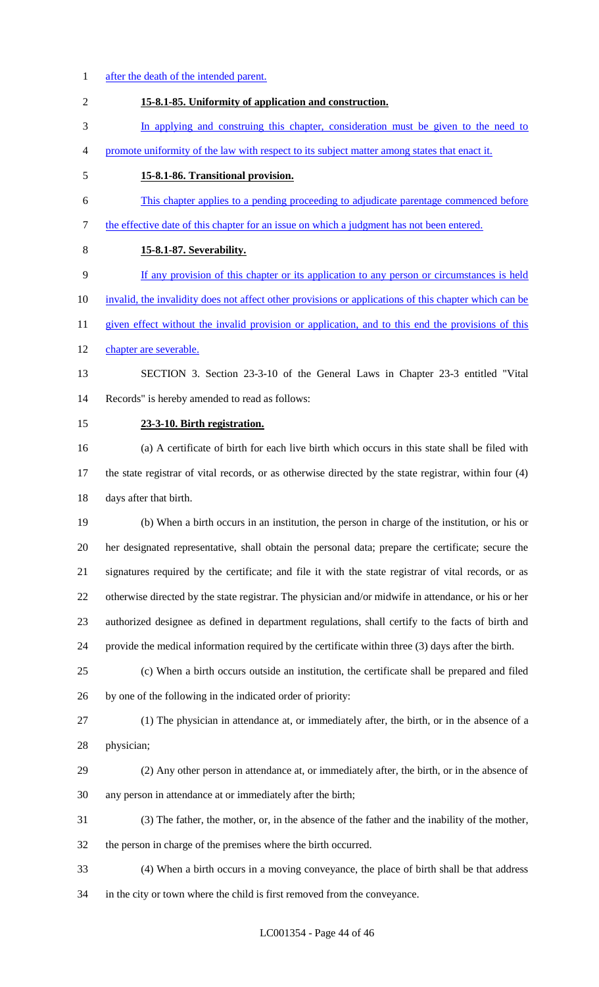- 1 after the death of the intended parent.
- **15-8.1-85. Uniformity of application and construction.**
- In applying and construing this chapter, consideration must be given to the need to
- promote uniformity of the law with respect to its subject matter among states that enact it.
- **15-8.1-86. Transitional provision.**
- This chapter applies to a pending proceeding to adjudicate parentage commenced before
- 7 the effective date of this chapter for an issue on which a judgment has not been entered.
- 

# **15-8.1-87. Severability.**

If any provision of this chapter or its application to any person or circumstances is held

10 invalid, the invalidity does not affect other provisions or applications of this chapter which can be

11 given effect without the invalid provision or application, and to this end the provisions of this

12 chapter are severable.

 SECTION 3. Section 23-3-10 of the General Laws in Chapter 23-3 entitled "Vital Records" is hereby amended to read as follows:

## **23-3-10. Birth registration.**

 (a) A certificate of birth for each live birth which occurs in this state shall be filed with the state registrar of vital records, or as otherwise directed by the state registrar, within four (4) days after that birth.

 (b) When a birth occurs in an institution, the person in charge of the institution, or his or her designated representative, shall obtain the personal data; prepare the certificate; secure the signatures required by the certificate; and file it with the state registrar of vital records, or as otherwise directed by the state registrar. The physician and/or midwife in attendance, or his or her authorized designee as defined in department regulations, shall certify to the facts of birth and provide the medical information required by the certificate within three (3) days after the birth.

 (c) When a birth occurs outside an institution, the certificate shall be prepared and filed by one of the following in the indicated order of priority:

 (1) The physician in attendance at, or immediately after, the birth, or in the absence of a physician;

- (2) Any other person in attendance at, or immediately after, the birth, or in the absence of any person in attendance at or immediately after the birth;
- (3) The father, the mother, or, in the absence of the father and the inability of the mother, the person in charge of the premises where the birth occurred.
- (4) When a birth occurs in a moving conveyance, the place of birth shall be that address in the city or town where the child is first removed from the conveyance.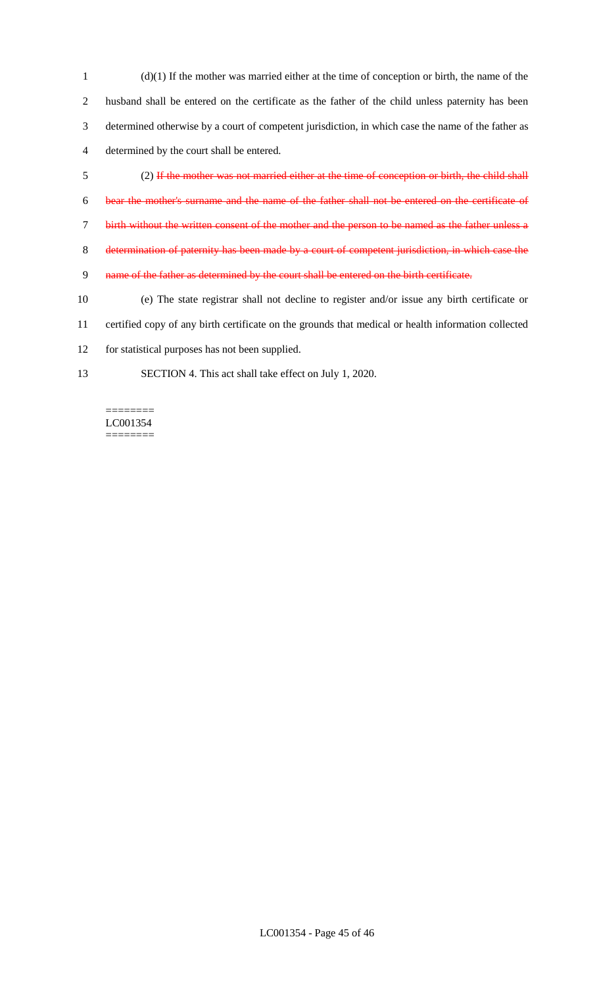(d)(1) If the mother was married either at the time of conception or birth, the name of the husband shall be entered on the certificate as the father of the child unless paternity has been determined otherwise by a court of competent jurisdiction, in which case the name of the father as determined by the court shall be entered.

 (2) If the mother was not married either at the time of conception or birth, the child shall bear the mother's surname and the name of the father shall not be entered on the certificate of 7 birth without the written consent of the mother and the person to be named as the father unless a determination of paternity has been made by a court of competent jurisdiction, in which case the 9 name of the father as determined by the court shall be entered on the birth certificate. (e) The state registrar shall not decline to register and/or issue any birth certificate or certified copy of any birth certificate on the grounds that medical or health information collected for statistical purposes has not been supplied.

SECTION 4. This act shall take effect on July 1, 2020.

LC001354 ========

 $=$